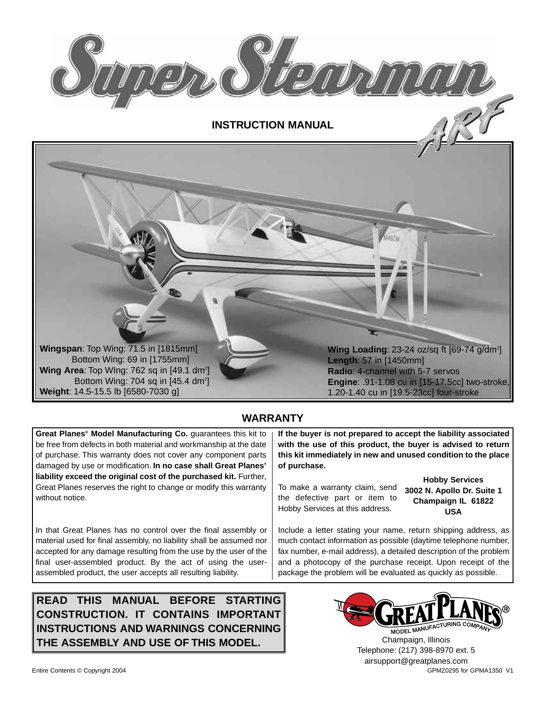

**INSTRUCTION MANUAL**



### **WARRANTY**

**Great Planes® Model Manufacturing Co.** guarantees this kit to be free from defects in both material and workmanship at the date of purchase. This warranty does not cover any component parts damaged by use or modification. **In no case shall Great Planes' liability exceed the original cost of the purchased kit.** Further, Great Planes reserves the right to change or modify this warranty without notice.

In that Great Planes has no control over the final assembly or material used for final assembly, no liability shall be assumed nor accepted for any damage resulting from the use by the user of the final user-assembled product. By the act of using the userassembled product, the user accepts all resulting liability.

**READ THIS MANUAL BEFORE STARTING CONSTRUCTION. IT CONTAINS IMPORTANT INSTRUCTIONS AND WARNINGS CONCERNING THE ASSEMBLY AND USE OF THIS MODEL.**

**If the buyer is not prepared to accept the liability associated with the use of this product, the buyer is advised to return this kit immediately in new and unused condition to the place of purchase.**

To make a warranty claim, send the defective part or item to Hobby Services at this address.

**Hobby Services 3002 N. Apollo Dr. Suite 1 Champaign IL 61822 USA**

Include a letter stating your name, return shipping address, as much contact information as possible (daytime telephone number, fax number, e-mail address), a detailed description of the problem and a photocopy of the purchase receipt. Upon receipt of the package the problem will be evaluated as quickly as possible.



Entire Contents © Copyright 2004 GPM CONTENTS CONTENTS OF CONTENTS OF GRAVITY CONTENTS OF GPMA1350 V1 Champaign, Illinois Telephone: (217) 398-8970 ext. 5 airsupport@greatplanes.com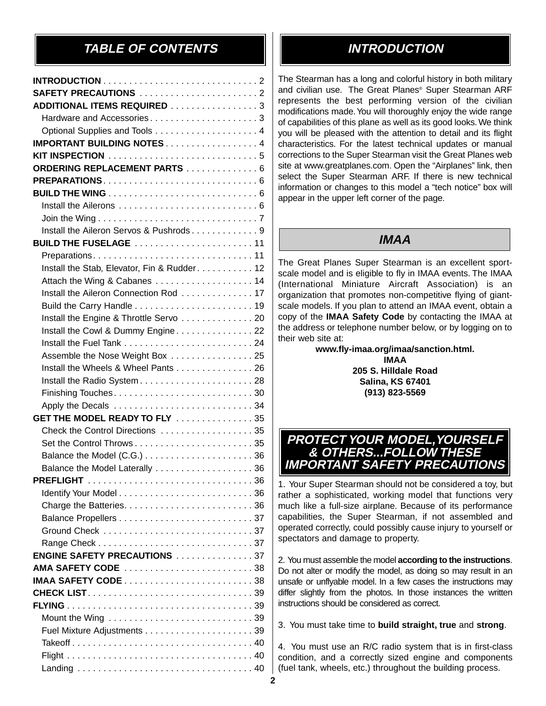# **TABLE OF CONTENTS INTRODUCTION**

| SAFETY PRECAUTIONS 2                         |  |
|----------------------------------------------|--|
| ADDITIONAL ITEMS REQUIRED 3                  |  |
| Hardware and Accessories3                    |  |
| Optional Supplies and Tools 4                |  |
| <b>IMPORTANT BUILDING NOTES4</b>             |  |
|                                              |  |
| ORDERING REPLACEMENT PARTS  6                |  |
|                                              |  |
|                                              |  |
|                                              |  |
|                                              |  |
| Install the Aileron Servos & Pushrods 9      |  |
| <b>BUILD THE FUSELAGE</b> 11                 |  |
| Preparations11                               |  |
| Install the Stab, Elevator, Fin & Rudder. 12 |  |
| Attach the Wing & Cabanes  14                |  |
| Install the Aileron Connection Rod 17        |  |
|                                              |  |
| Install the Engine & Throttle Servo 20       |  |
| Install the Cowl & Dummy Engine22            |  |
|                                              |  |
| Assemble the Nose Weight Box 25              |  |
| Install the Wheels & Wheel Pants 26          |  |
|                                              |  |
| Install the Radio System28                   |  |
|                                              |  |
|                                              |  |
| GET THE MODEL READY TO FLY 35                |  |
| Check the Control Directions 35              |  |
|                                              |  |
|                                              |  |
| Balance the Model Laterally 36               |  |
|                                              |  |
|                                              |  |
|                                              |  |
|                                              |  |
|                                              |  |
|                                              |  |
| <b>ENGINE SAFETY PRECAUTIONS</b> 37          |  |
| AMA SAFETY CODE 38                           |  |
|                                              |  |
|                                              |  |
|                                              |  |
|                                              |  |
|                                              |  |
|                                              |  |
|                                              |  |
|                                              |  |

The Stearman has a long and colorful history in both military and civilian use. The Great Planes® Super Stearman ARF represents the best performing version of the civilian modifications made.You will thoroughly enjoy the wide range of capabilities of this plane as well as its good looks. We think you will be pleased with the attention to detail and its flight characteristics. For the latest technical updates or manual corrections to the Super Stearman visit the Great Planes web site at www.greatplanes.com. Open the "Airplanes" link, then select the Super Stearman ARF. If there is new technical information or changes to this model a "tech notice" box will appear in the upper left corner of the page.

# **IMAA**

The Great Planes Super Stearman is an excellent sportscale model and is eligible to fly in IMAA events. The IMAA (International Miniature Aircraft Association) is an organization that promotes non-competitive flying of giantscale models. If you plan to attend an IMAA event, obtain a copy of the **IMAA Safety Code** by contacting the IMAA at the address or telephone number below, or by logging on to their web site at:

**www.fly-imaa.org/imaa/sanction.html. IMAA 205 S. Hilldale Road Salina, KS 67401 (913) 823-5569**

## **PROTECT YOUR MODEL,YOURSELF & OTHERS...FOLLOW THESE IMPORTANT SAFETY PRECAUTIONS**

1. Your Super Stearman should not be considered a toy, but rather a sophisticated, working model that functions very much like a full-size airplane. Because of its performance capabilities, the Super Stearman, if not assembled and operated correctly, could possibly cause injury to yourself or spectators and damage to property.

2. You must assemble the model **according to the instructions**. Do not alter or modify the model, as doing so may result in an unsafe or unflyable model. In a few cases the instructions may differ slightly from the photos. In those instances the written instructions should be considered as correct.

3. You must take time to **build straight, true** and **strong**.

4. You must use an R/C radio system that is in first-class condition, and a correctly sized engine and components (fuel tank, wheels, etc.) throughout the building process.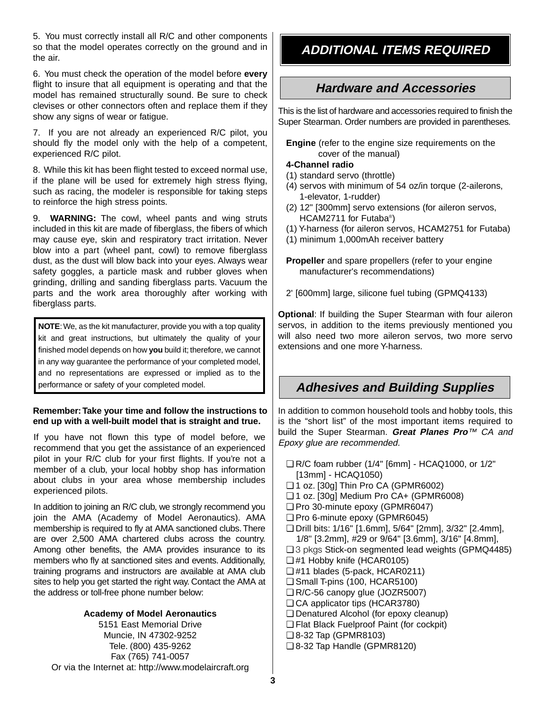5. You must correctly install all R/C and other components so that the model operates correctly on the ground and in the air.

6. You must check the operation of the model before **every** flight to insure that all equipment is operating and that the model has remained structurally sound. Be sure to check clevises or other connectors often and replace them if they show any signs of wear or fatigue.

7. If you are not already an experienced R/C pilot, you should fly the model only with the help of a competent, experienced R/C pilot.

8. While this kit has been flight tested to exceed normal use, if the plane will be used for extremely high stress flying, such as racing, the modeler is responsible for taking steps to reinforce the high stress points.

9. **WARNING:** The cowl, wheel pants and wing struts included in this kit are made of fiberglass, the fibers of which may cause eye, skin and respiratory tract irritation. Never blow into a part (wheel pant, cowl) to remove fiberglass dust, as the dust will blow back into your eyes. Always wear safety goggles, a particle mask and rubber gloves when grinding, drilling and sanding fiberglass parts. Vacuum the parts and the work area thoroughly after working with fiberglass parts.

**NOTE:** We, as the kit manufacturer, provide you with a top quality kit and great instructions, but ultimately the quality of your finished model depends on how **you** build it; therefore, we cannot in any way guarantee the performance of your completed model, and no representations are expressed or implied as to the performance or safety of your completed model.

#### **Remember:Take your time and follow the instructions to end up with a well-built model that is straight and true.**

If you have not flown this type of model before, we recommend that you get the assistance of an experienced pilot in your R/C club for your first flights. If you're not a member of a club, your local hobby shop has information about clubs in your area whose membership includes experienced pilots.

In addition to joining an R/C club, we strongly recommend you join the AMA (Academy of Model Aeronautics). AMA membership is required to fly at AMA sanctioned clubs. There are over 2,500 AMA chartered clubs across the country. Among other benefits, the AMA provides insurance to its members who fly at sanctioned sites and events. Additionally, training programs and instructors are available at AMA club sites to help you get started the right way. Contact the AMA at the address or toll-free phone number below:

#### **Academy of Model Aeronautics**

5151 East Memorial Drive Muncie, IN 47302-9252 Tele. (800) 435-9262 Fax (765) 741-0057 Or via the Internet at: http://www.modelaircraft.org

# **ADDITIONAL ITEMS REQUIRED**

# **Hardware and Accessories**

This is the list of hardware and accessories required to finish the Super Stearman. Order numbers are provided in parentheses.

**Engine** (refer to the engine size requirements on the cover of the manual)

#### **4-Channel radio**

- (1) standard servo (throttle)
- (4) servos with minimum of 54 oz/in torque (2-ailerons, 1-elevator, 1-rudder)
- (2) 12" [300mm] servo extensions (for aileron servos, HCAM2711 for Futaba®)
- (1) Y-harness (for aileron servos, HCAM2751 for Futaba)
- (1) minimum 1,000mAh receiver battery

**Propeller** and spare propellers (refer to your engine manufacturer's recommendations)

2' [600mm] large, silicone fuel tubing (GPMQ4133)

**Optional**: If building the Super Stearman with four aileron servos, in addition to the items previously mentioned you will also need two more aileron servos, two more servo extensions and one more Y-harness.

# **Adhesives and Building Supplies**

In addition to common household tools and hobby tools, this is the "short list" of the most important items required to build the Super Stearman. **Great Planes Pro**™ CA and Epoxy glue are recommended.

- ❏ R/C foam rubber (1/4" [6mm] HCAQ1000, or 1/2" [13mm] - HCAQ1050)
- ❏ 1 oz. [30g] Thin Pro CA (GPMR6002)
- ❏ 1 oz. [30g] Medium Pro CA+ (GPMR6008)
- ❏ Pro 30-minute epoxy (GPMR6047)
- ❏ Pro 6-minute epoxy (GPMR6045)
- ❏ Drill bits: 1/16" [1.6mm], 5/64" [2mm], 3/32" [2.4mm], 1/8" [3.2mm], #29 or 9/64" [3.6mm], 3/16" [4.8mm],
- ❏ 3 pkgs Stick-on segmented lead weights (GPMQ4485)
- ❏ #1 Hobby knife (HCAR0105)
- ❏ #11 blades (5-pack, HCAR0211)
- ❏ Small T-pins (100, HCAR5100)
- ❏ R/C-56 canopy glue (JOZR5007)
- ❏ CA applicator tips (HCAR3780)
- ❏ Denatured Alcohol (for epoxy cleanup)
- ❏ Flat Black Fuelproof Paint (for cockpit)
- ❏ 8-32 Tap (GPMR8103)
- ❏ 8-32 Tap Handle (GPMR8120)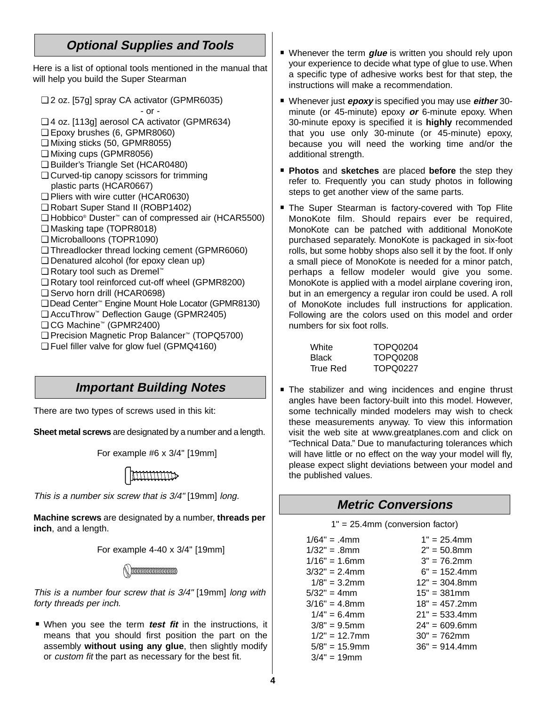# **Optional Supplies and Tools**

Here is a list of optional tools mentioned in the manual that will help you build the Super Stearman

❏ 2 oz. [57g] spray CA activator (GPMR6035)

- or -

- ❏ 4 oz. [113g] aerosol CA activator (GPMR634)
- ❏ Epoxy brushes (6, GPMR8060)
- ❏ Mixing sticks (50, GPMR8055)
- ❏ Mixing cups (GPMR8056)
- ❏ Builder's Triangle Set (HCAR0480)
- ❏ Curved-tip canopy scissors for trimming plastic parts (HCAR0667)
- ❏ Pliers with wire cutter (HCAR0630)
- ❏ Robart Super Stand II (ROBP1402)
- ❏ Hobbico® Duster™ can of compressed air (HCAR5500)
- ❏ Masking tape (TOPR8018)
- ❏ Microballoons (TOPR1090)
- ❏ Threadlocker thread locking cement (GPMR6060)
- ❏ Denatured alcohol (for epoxy clean up)
- ❏ Rotary tool such as Dremel™
- ❏ Rotary tool reinforced cut-off wheel (GPMR8200)
- ❏ Servo horn drill (HCAR0698)
- ❏ Dead Center™ Engine Mount Hole Locator (GPMR8130)
- ❏ AccuThrow™ Deflection Gauge (GPMR2405)
- ❏ CG Machine™ (GPMR2400)
- ❏ Precision Magnetic Prop Balancer™ (TOPQ5700)
- ❏ Fuel filler valve for glow fuel (GPMQ4160)

## **Important Building Notes**

There are two types of screws used in this kit:

**Sheet metal screws** are designated by a number and a length.

For example #6 x 3/4" [19mm]



This is a number six screw that is 3/4" [19mm] long.

**Machine screws** are designated by a number, **threads per inch**, and a length.





This is a number four screw that is 3/4" [19mm] long with forty threads per inch.

**• When you see the term** *test fit* in the instructions, it means that you should first position the part on the assembly **without using any glue**, then slightly modify or custom fit the part as necessary for the best fit.

- **Whenever the term glue** is written you should rely upon your experience to decide what type of glue to use. When a specific type of adhesive works best for that step, the instructions will make a recommendation.
- · Whenever just **epoxy** is specified you may use **either** 30- minute (or 45-minute) epoxy **or** 6-minute epoxy. When 30-minute epoxy is specified it is **highly** recommended that you use only 30-minute (or 45-minute) epoxy, because you will need the working time and/or the additional strength.
- · **Photos** and **sketches** are placed **before** the step they refer to. Frequently you can study photos in following steps to get another view of the same parts.
- steps to get another view of the same parts.<br>■ The Super Stearman is factory-covered with Top Flite<br>MonoKote film. Should repairs ever be required, MonoKote can be patched with additional MonoKote purchased separately. MonoKote is packaged in six-foot rolls, but some hobby shops also sell it by the foot. If only a small piece of MonoKote is needed for a minor patch, perhaps a fellow modeler would give you some. MonoKote is applied with a model airplane covering iron, but in an emergency a regular iron could be used. A roll of MonoKote includes full instructions for application. Following are the colors used on this model and order numbers for six foot rolls.

| White        | TOPQ0204        |
|--------------|-----------------|
| <b>Black</b> | <b>TOPQ0208</b> |
| True Red     | TOPQ0227        |

■ The stabilizer and wing incidences and engine thrust<br>angles have been factory-built into this model. However, some technically minded modelers may wish to check these measurements anyway. To view this information visit the web site at www.greatplanes.com and click on "Technical Data." Due to manufacturing tolerances which will have little or no effect on the way your model will fly, please expect slight deviations between your model and the published values.

## **Metric Conversions**

1" = 25.4mm (conversion factor)

| $1/64" = .4mm$   | $1" = 25.4$ mm   |
|------------------|------------------|
| $1/32" = .8mm$   | $2" = 50.8$ mm   |
| $1/16" = 1.6$ mm | $3" = 76.2$ mm   |
| $3/32" = 2.4$ mm | $6" = 152.4$ mm  |
| $1/8" = 3.2$ mm  | $12" = 304.8$ mm |
| $5/32" = 4mm$    | $15" = 381$ mm   |
| $3/16" = 4.8$ mm | $18" = 457.2$ mm |
| $1/4" = 6.4$ mm  | $21" = 533.4$ mm |
| $3/8" = 9.5$ mm  | $24" = 609.6$ mm |
| $1/2" = 12.7$ mm | $30" = 762$ mm   |
| $5/8" = 15.9$ mm | $36" = 914.4$ mm |
| $3/4" = 19mm$    |                  |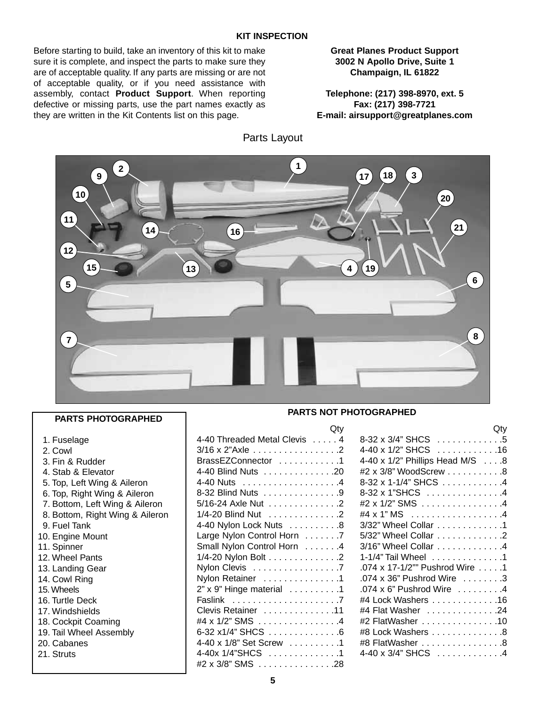#### **KIT INSPECTION**

Parts Layout

Before starting to build, take an inventory of this kit to make sure it is complete, and inspect the parts to make sure they are of acceptable quality. If any parts are missing or are not of acceptable quality, or if you need assistance with assembly, contact **Product Support**. When reporting defective or missing parts, use the part names exactly as they are written in the Kit Contents list on this page.

**Great Planes Product Support 3002 N Apollo Drive, Suite 1 Champaign, IL 61822**

**Telephone: (217) 398-8970, ext. 5 Fax: (217) 398-7721 E-mail: airsupport@greatplanes.com**



#### **PARTS PHOTOGRAPHED**

| 1. Fuselage |
|-------------|
|-------------|

- 2. Cowl
- 3. Fin & Rudder
- 4. Stab & Elevator
- 5. Top, Left Wing & Aileron
- 6. Top, Right Wing & Aileron
- 7. Bottom, Left Wing & Aileron
- 8. Bottom, Right Wing & Aileron
- 9. Fuel Tank
- 10. Engine Mount
- 11. Spinner
- 12. Wheel Pants
- 13. Landing Gear
- 14. Cowl Ring
- 15. Wheels
- 16. Turtle Deck
- 17. Windshields
- 18. Cockpit Coaming
- 19. Tail Wheel Assembly
- 20. Cabanes
- 21. Struts

#### **PARTS NOT PHOTOGRAPHED**

 $\bigcap_{i=1}^{n}$ 

| ww                                                 |  |
|----------------------------------------------------|--|
| 4-40 Threaded Metal Clevis 4                       |  |
| 3/16 x 2"Axle 2                                    |  |
| BrassEZConnector 1                                 |  |
| 4-40 Blind Nuts 20                                 |  |
|                                                    |  |
| 8-32 Blind Nuts 9                                  |  |
| 5/16-24 Axle Nut 2                                 |  |
| 1/4-20 Blind Nut 2                                 |  |
| 4-40 Nylon Lock Nuts 8                             |  |
| Large Nylon Control Horn 7                         |  |
| Small Nylon Control Horn 4                         |  |
| 1/4-20 Nylon Bolt 2                                |  |
| Nylon Clevis 7                                     |  |
| Nylon Retainer 1                                   |  |
| $2"$ x 9" Hinge material $\ldots \ldots \ldots$ .1 |  |
| Faslink 7                                          |  |
| Clevis Retainer 11                                 |  |
| #4 x 1/2" SMS 4                                    |  |
| 6-32 x1/4" SHCS 6                                  |  |
| 4-40 x 1/8" Set Screw 1                            |  |
| 4-40x 1/4"SHCS 1                                   |  |
| #2 x 3/8" SMS 28                                   |  |
|                                                    |  |

| <b>Example 12</b> Oty           |
|---------------------------------|
| 8-32 x 3/4" SHCS 5              |
| 4-40 x 1/2" SHCS 16             |
| 4-40 x 1/2" Phillips Head M/S 8 |
| #2 x 3/8" WoodScrew 8           |
| 8-32 x 1-1/4" SHCS 4            |
| 8-32 x 1"SHCS 4                 |
| #2 x 1/2" SMS 4                 |
| #4 x 1" MS 4                    |
| 3/32" Wheel Collar 1            |
| 5/32" Wheel Collar 2            |
| 3/16" Wheel Collar 4            |
| 1-1/4" Tail Wheel 1             |
| .074 x 17-1/2"" Pushrod Wire  1 |
| .074 x 36" Pushrod Wire 3       |
| .074 x 6" Pushrod Wire 4        |
| #4 Lock Washers 16              |
| #4 Flat Washer 24               |
| #2 FlatWasher 10                |
| #8 Lock Washers 8               |
| #8 FlatWasher 8                 |
| 4-40 x 3/4" SHCS 4              |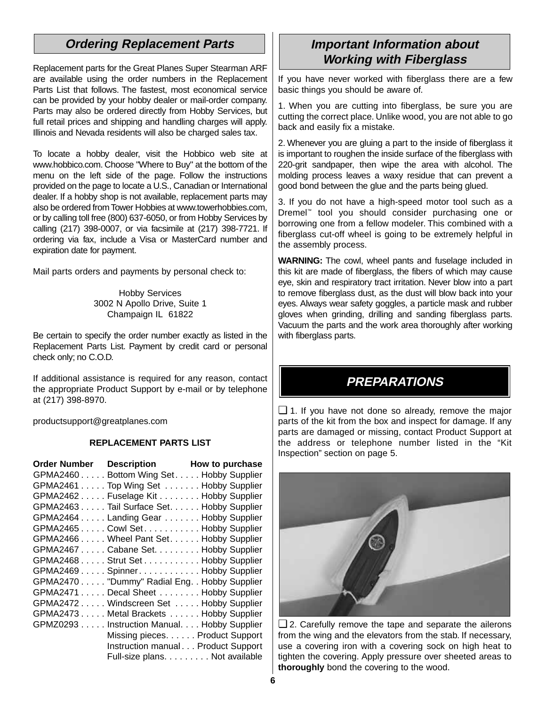# **Ordering Replacement Parts**

Replacement parts for the Great Planes Super Stearman ARF are available using the order numbers in the Replacement Parts List that follows. The fastest, most economical service can be provided by your hobby dealer or mail-order company. Parts may also be ordered directly from Hobby Services, but full retail prices and shipping and handling charges will apply. Illinois and Nevada residents will also be charged sales tax.

To locate a hobby dealer, visit the Hobbico web site at www.hobbico.com. Choose "Where to Buy" at the bottom of the menu on the left side of the page. Follow the instructions provided on the page to locate a U.S., Canadian or International dealer. If a hobby shop is not available, replacement parts may also be ordered from Tower Hobbies at www.towerhobbies.com, or by calling toll free (800) 637-6050, or from Hobby Services by calling (217) 398-0007, or via facsimile at (217) 398-7721. If ordering via fax, include a Visa or MasterCard number and expiration date for payment.

Mail parts orders and payments by personal check to:

Hobby Services 3002 N Apollo Drive, Suite 1 Champaign IL 61822

Be certain to specify the order number exactly as listed in the Replacement Parts List. Payment by credit card or personal check only; no C.O.D.

If additional assistance is required for any reason, contact the appropriate Product Support by e-mail or by telephone at (217) 398-8970.

productsupport@greatplanes.com

#### **REPLACEMENT PARTS LIST**

| Order Number Description How to purchase      |  |
|-----------------------------------------------|--|
| GPMA2460 Bottom Wing Set. Hobby Supplier      |  |
| GPMA2461 Top Wing Set Hobby Supplier          |  |
| GPMA2462 Fuselage Kit Hobby Supplier          |  |
| GPMA2463 Tail Surface Set. Hobby Supplier     |  |
| GPMA2464 Landing Gear Hobby Supplier          |  |
| GPMA2465 Cowl Set. Hobby Supplier             |  |
| GPMA2466 Wheel Pant Set. Hobby Supplier       |  |
| GPMA2467 Cabane Set. Hobby Supplier           |  |
| GPMA2468 Strut Set Hobby Supplier             |  |
| GPMA2469 Spinner Hobby Supplier               |  |
| GPMA2470 "Dummy" Radial Eng. . Hobby Supplier |  |
| GPMA2471 Decal Sheet Hobby Supplier           |  |
| GPMA2472 Windscreen Set Hobby Supplier        |  |
| GPMA2473 Metal Brackets Hobby Supplier        |  |
| GPMZ0293 Instruction Manual. Hobby Supplier   |  |
| Missing pieces. Product Support               |  |
| Instruction manual Product Support            |  |
| Full-size plans. Not available                |  |

## **Important Information about Working with Fiberglass**

If you have never worked with fiberglass there are a few basic things you should be aware of.

1. When you are cutting into fiberglass, be sure you are cutting the correct place. Unlike wood, you are not able to go back and easily fix a mistake.

2. Whenever you are gluing a part to the inside of fiberglass it is important to roughen the inside surface of the fiberglass with 220-grit sandpaper, then wipe the area with alcohol. The molding process leaves a waxy residue that can prevent a good bond between the glue and the parts being glued.

3. If you do not have a high-speed motor tool such as a Dremel™ tool you should consider purchasing one or borrowing one from a fellow modeler. This combined with a fiberglass cut-off wheel is going to be extremely helpful in the assembly process.

**WARNING:** The cowl, wheel pants and fuselage included in this kit are made of fiberglass, the fibers of which may cause eye, skin and respiratory tract irritation. Never blow into a part to remove fiberglass dust, as the dust will blow back into your eyes. Always wear safety goggles, a particle mask and rubber gloves when grinding, drilling and sanding fiberglass parts. Vacuum the parts and the work area thoroughly after working with fiberglass parts.

# **PREPARATIONS**

❏ 1. If you have not done so already, remove the major parts of the kit from the box and inspect for damage. If any parts are damaged or missing, contact Product Support at the address or telephone number listed in the "Kit Inspection" section on page 5.



❏ 2. Carefully remove the tape and separate the ailerons from the wing and the elevators from the stab. If necessary, use a covering iron with a covering sock on high heat to tighten the covering. Apply pressure over sheeted areas to **thoroughly** bond the covering to the wood.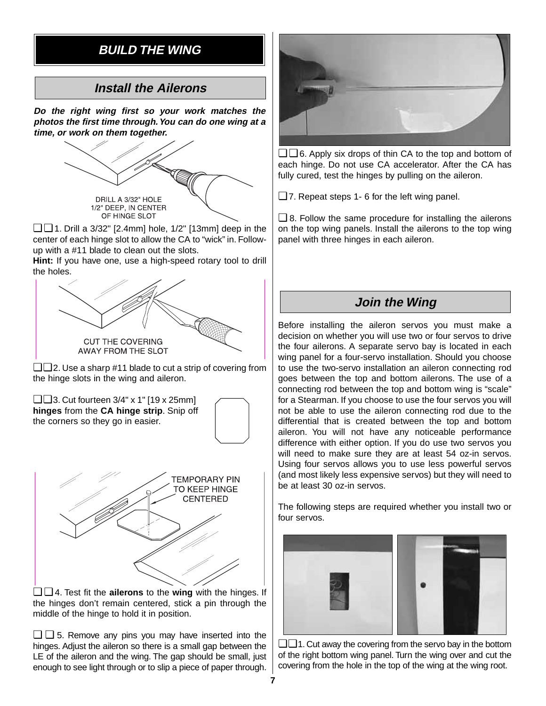# **BUILD THE WING**

# **Install the Ailerons**

**Do the right wing first so your work matches the photos the first time through.You can do one wing at a time, or work on them together.**



❏ ❏ 1. Drill a 3/32" [2.4mm] hole, 1/2" [13mm] deep in the center of each hinge slot to allow the CA to "wick" in. Followup with a #11 blade to clean out the slots.

**Hint:** If you have one, use a high-speed rotary tool to drill the holes.



❏ ❏ 2. Use a sharp #11 blade to cut a strip of covering from the hinge slots in the wing and aileron.





❏ ❏ 4. Test fit the **ailerons** to the **wing** with the hinges. If the hinges don't remain centered, stick a pin through the middle of the hinge to hold it in position.

❏ ❏ 5. Remove any pins you may have inserted into the hinges. Adjust the aileron so there is a small gap between the LE of the aileron and the wing. The gap should be small, just enough to see light through or to slip a piece of paper through.



❏ ❏ 6. Apply six drops of thin CA to the top and bottom of each hinge. Do not use CA accelerator. After the CA has fully cured, test the hinges by pulling on the aileron.

❏ 7. Repeat steps 1- 6 for the left wing panel.

 $\Box$  8. Follow the same procedure for installing the ailerons on the top wing panels. Install the ailerons to the top wing panel with three hinges in each aileron.

## **Join the Wing**

Before installing the aileron servos you must make a decision on whether you will use two or four servos to drive the four ailerons. A separate servo bay is located in each wing panel for a four-servo installation. Should you choose to use the two-servo installation an aileron connecting rod goes between the top and bottom ailerons. The use of a connecting rod between the top and bottom wing is "scale" for a Stearman. If you choose to use the four servos you will not be able to use the aileron connecting rod due to the differential that is created between the top and bottom aileron. You will not have any noticeable performance difference with either option. If you do use two servos you will need to make sure they are at least 54 oz-in servos. Using four servos allows you to use less powerful servos (and most likely less expensive servos) but they will need to be at least 30 oz-in servos.

The following steps are required whether you install two or four servos.



 $\Box$  1. Cut away the covering from the servo bay in the bottom of the right bottom wing panel. Turn the wing over and cut the covering from the hole in the top of the wing at the wing root.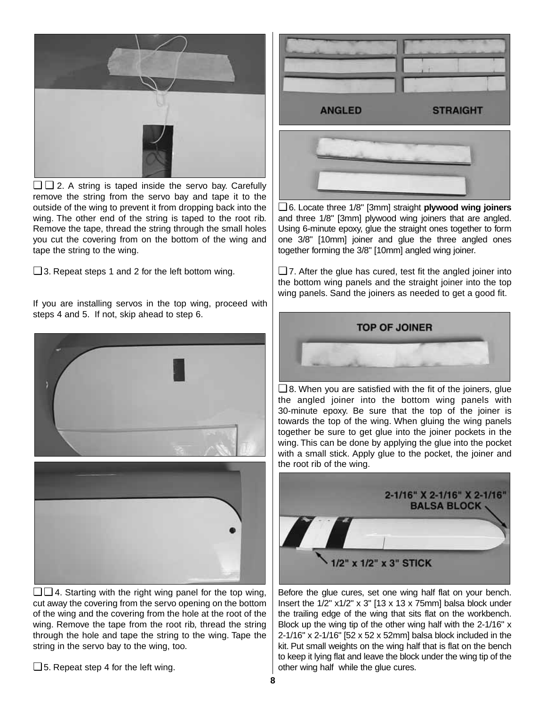

❏ ❏ 2. A string is taped inside the servo bay. Carefully remove the string from the servo bay and tape it to the outside of the wing to prevent it from dropping back into the wing. The other end of the string is taped to the root rib. Remove the tape, thread the string through the small holes you cut the covering from on the bottom of the wing and tape the string to the wing.

❏ 3. Repeat steps 1 and 2 for the left bottom wing.

If you are installing servos in the top wing, proceed with steps 4 and 5. If not, skip ahead to step 6.





cut away the covering from the servo opening on the bottom of the wing and the covering from the hole at the root of the wing. Remove the tape from the root rib, thread the string through the hole and tape the string to the wing. Tape the string in the servo bay to the wing, too.

❏ 5. Repeat step 4 for the left wing.



❏ 6. Locate three 1/8" [3mm] straight **plywood wing joiners** and three 1/8" [3mm] plywood wing joiners that are angled. Using 6-minute epoxy, glue the straight ones together to form one 3/8" [10mm] joiner and glue the three angled ones together forming the 3/8" [10mm] angled wing joiner.

 $\Box$  7. After the glue has cured, test fit the angled joiner into the bottom wing panels and the straight joiner into the top wing panels. Sand the joiners as needed to get a good fit.



❏ 8. When you are satisfied with the fit of the joiners, glue the angled joiner into the bottom wing panels with 30-minute epoxy. Be sure that the top of the joiner is towards the top of the wing. When gluing the wing panels together be sure to get glue into the joiner pockets in the wing. This can be done by applying the glue into the pocket with a small stick. Apply glue to the pocket, the joiner and the root rib of the wing.



Before the glue cures, set one wing half flat on your bench. Insert the  $1/2$ "  $x1/2$ "  $x 3$ " [13  $x 13 x 75$ mm] balsa block under the trailing edge of the wing that sits flat on the workbench. Block up the wing tip of the other wing half with the 2-1/16" x 2-1/16" x 2-1/16" [52 x 52 x 52mm] balsa block included in the kit. Put small weights on the wing half that is flat on the bench to keep it lying flat and leave the block under the wing tip of the other wing half while the glue cures.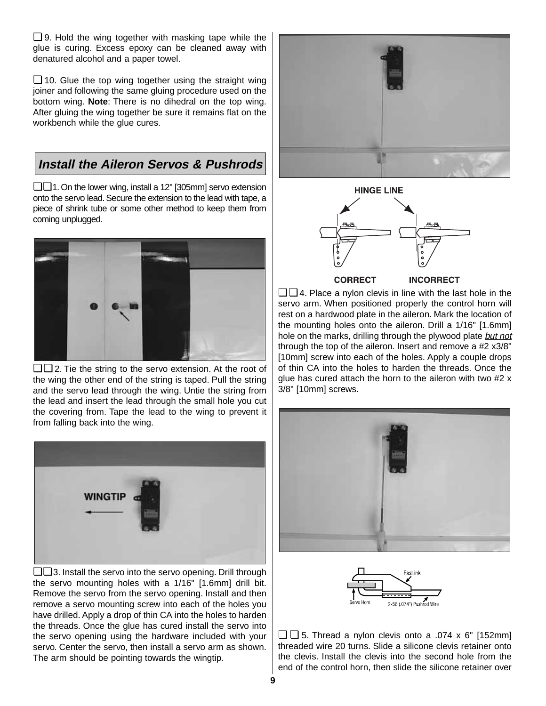$\Box$  9. Hold the wing together with masking tape while the glue is curing. Excess epoxy can be cleaned away with denatured alcohol and a paper towel.

❏ 10. Glue the top wing together using the straight wing joiner and following the same gluing procedure used on the bottom wing. **Note**: There is no dihedral on the top wing. After gluing the wing together be sure it remains flat on the workbench while the glue cures.

# **Install the Aileron Servos & Pushrods**

❏ ❏1. On the lower wing, install a 12" [305mm] servo extension onto the servo lead. Secure the extension to the lead with tape, a piece of shrink tube or some other method to keep them from coming unplugged.



❏ ❏ 2. Tie the string to the servo extension. At the root of the wing the other end of the string is taped. Pull the string and the servo lead through the wing. Untie the string from the lead and insert the lead through the small hole you cut the covering from. Tape the lead to the wing to prevent it from falling back into the wing.



❏ ❏ 3. Install the servo into the servo opening. Drill through the servo mounting holes with a 1/16" [1.6mm] drill bit. Remove the servo from the servo opening. Install and then remove a servo mounting screw into each of the holes you have drilled. Apply a drop of thin CA into the holes to harden the threads. Once the glue has cured install the servo into the servo opening using the hardware included with your servo. Center the servo, then install a servo arm as shown. The arm should be pointing towards the wingtip.





**CORRECT INCORRECT** 

❏ ❏ 4. Place a nylon clevis in line with the last hole in the servo arm. When positioned properly the control horn will rest on a hardwood plate in the aileron. Mark the location of the mounting holes onto the aileron. Drill a 1/16" [1.6mm] hole on the marks, drilling through the plywood plate but not through the top of the aileron. Insert and remove a #2 x3/8" [10mm] screw into each of the holes. Apply a couple drops of thin CA into the holes to harden the threads. Once the glue has cured attach the horn to the aileron with two #2 x 3/8" [10mm] screws.





 $\Box$  5. Thread a nylon clevis onto a .074 x 6" [152mm] threaded wire 20 turns. Slide a silicone clevis retainer onto the clevis. Install the clevis into the second hole from the end of the control horn, then slide the silicone retainer over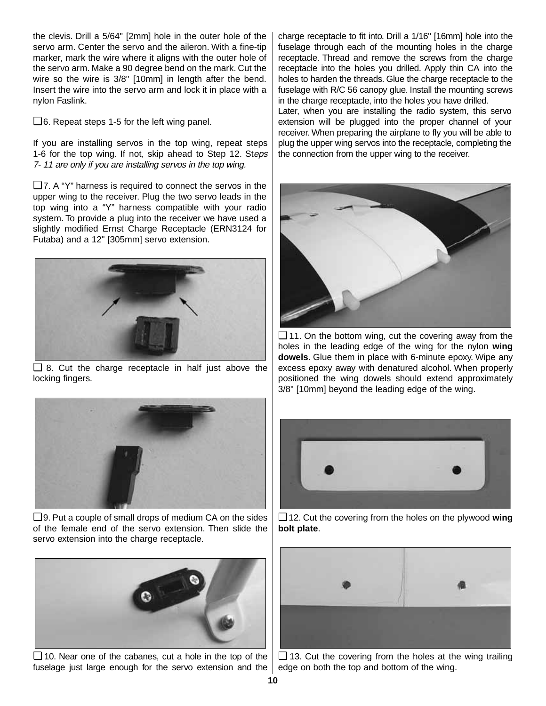the clevis. Drill a 5/64" [2mm] hole in the outer hole of the servo arm. Center the servo and the aileron. With a fine-tip marker, mark the wire where it aligns with the outer hole of the servo arm. Make a 90 degree bend on the mark. Cut the wire so the wire is 3/8" [10mm] in length after the bend. Insert the wire into the servo arm and lock it in place with a nylon Faslink.

❏ 6. Repeat steps 1-5 for the left wing panel.

If you are installing servos in the top wing, repeat steps 1-6 for the top wing. If not, skip ahead to Step 12. Steps 7- 11 are only if you are installing servos in the top wing.

❏ 7. A "Y" harness is required to connect the servos in the upper wing to the receiver. Plug the two servo leads in the top wing into a "Y" harness compatible with your radio system. To provide a plug into the receiver we have used a slightly modified Ernst Charge Receptacle (ERN3124 for Futaba) and a 12" [305mm] servo extension.



❏ 8. Cut the charge receptacle in half just above the locking fingers.



❏ 9. Put a couple of small drops of medium CA on the sides of the female end of the servo extension. Then slide the servo extension into the charge receptacle.



❏ 10. Near one of the cabanes, cut a hole in the top of the fuselage just large enough for the servo extension and the  $|$  edge on both the top and bottom of the wing.

charge receptacle to fit into. Drill a 1/16" [16mm] hole into the fuselage through each of the mounting holes in the charge receptacle. Thread and remove the screws from the charge receptacle into the holes you drilled. Apply thin CA into the holes to harden the threads. Glue the charge receptacle to the fuselage with R/C 56 canopy glue. Install the mounting screws in the charge receptacle, into the holes you have drilled.

Later, when you are installing the radio system, this servo extension will be plugged into the proper channel of your receiver. When preparing the airplane to fly you will be able to plug the upper wing servos into the receptacle, completing the the connection from the upper wing to the receiver.

![](_page_9_Picture_12.jpeg)

❏ 11. On the bottom wing, cut the covering away from the holes in the leading edge of the wing for the nylon **wing dowels**. Glue them in place with 6-minute epoxy. Wipe any excess epoxy away with denatured alcohol. When properly positioned the wing dowels should extend approximately 3/8" [10mm] beyond the leading edge of the wing.

![](_page_9_Picture_14.jpeg)

❏ 12. Cut the covering from the holes on the plywood **wing bolt plate**.

![](_page_9_Picture_16.jpeg)

❏ 13. Cut the covering from the holes at the wing trailing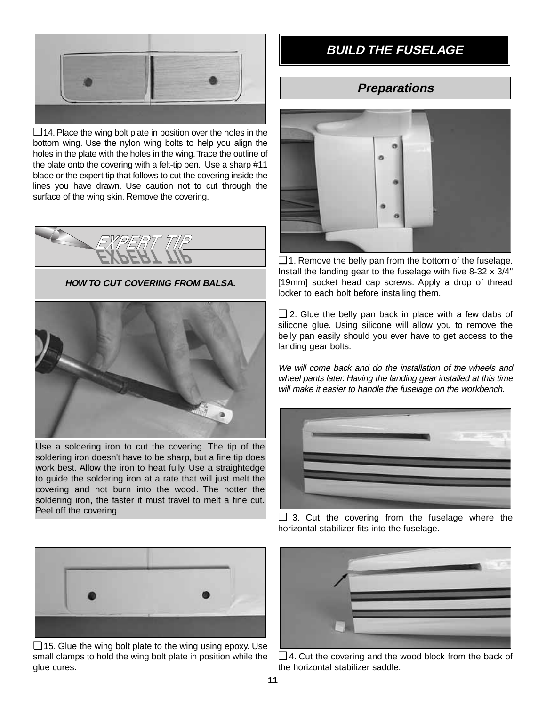![](_page_10_Picture_0.jpeg)

❏ 14. Place the wing bolt plate in position over the holes in the bottom wing. Use the nylon wing bolts to help you align the holes in the plate with the holes in the wing. Trace the outline of the plate onto the covering with a felt-tip pen. Use a sharp #11 blade or the expert tip that follows to cut the covering inside the lines you have drawn. Use caution not to cut through the surface of the wing skin. Remove the covering.

![](_page_10_Picture_2.jpeg)

**HOW TO CUT COVERING FROM BALSA.**

![](_page_10_Picture_4.jpeg)

Use a soldering iron to cut the covering. The tip of the soldering iron doesn't have to be sharp, but a fine tip does work best. Allow the iron to heat fully. Use a straightedge to guide the soldering iron at a rate that will just melt the covering and not burn into the wood. The hotter the soldering iron, the faster it must travel to melt a fine cut. Peel off the covering.

![](_page_10_Picture_6.jpeg)

❏ 15. Glue the wing bolt plate to the wing using epoxy. Use small clamps to hold the wing bolt plate in position while the glue cures.

# **BUILD THE FUSELAGE**

# **Preparations**

![](_page_10_Picture_10.jpeg)

❏ 1. Remove the belly pan from the bottom of the fuselage. Install the landing gear to the fuselage with five 8-32 x 3/4" [19mm] socket head cap screws. Apply a drop of thread locker to each bolt before installing them.

 $\Box$  2. Glue the belly pan back in place with a few dabs of silicone glue. Using silicone will allow you to remove the belly pan easily should you ever have to get access to the landing gear bolts.

We will come back and do the installation of the wheels and wheel pants later. Having the landing gear installed at this time will make it easier to handle the fuselage on the workbench.

![](_page_10_Picture_14.jpeg)

❏ 3. Cut the covering from the fuselage where the horizontal stabilizer fits into the fuselage.

![](_page_10_Picture_16.jpeg)

❏ 4. Cut the covering and the wood block from the back of the horizontal stabilizer saddle.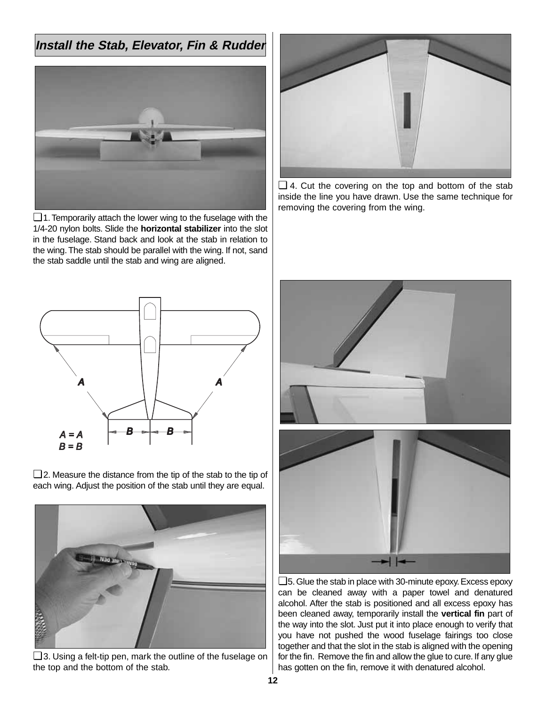# **Install the Stab, Elevator, Fin & Rudder**

![](_page_11_Picture_1.jpeg)

❏ 1.Temporarily attach the lower wing to the fuselage with the 1/4-20 nylon bolts. Slide the **horizontal stabilizer** into the slot in the fuselage. Stand back and look at the stab in relation to the wing.The stab should be parallel with the wing. If not, sand the stab saddle until the stab and wing are aligned.

![](_page_11_Figure_3.jpeg)

❏ 4. Cut the covering on the top and bottom of the stab inside the line you have drawn. Use the same technique for removing the covering from the wing.

![](_page_11_Figure_5.jpeg)

❏ 2. Measure the distance from the tip of the stab to the tip of each wing. Adjust the position of the stab until they are equal.

![](_page_11_Picture_7.jpeg)

❏ 3. Using a felt-tip pen, mark the outline of the fuselage on the top and the bottom of the stab.

![](_page_11_Picture_9.jpeg)

❏5.Glue the stab in place with 30-minute epoxy.Excess epoxy can be cleaned away with a paper towel and denatured alcohol. After the stab is positioned and all excess epoxy has been cleaned away, temporarily install the **vertical fin** part of the way into the slot. Just put it into place enough to verify that you have not pushed the wood fuselage fairings too close together and that the slot in the stab is aligned with the opening for the fin. Remove the fin and allow the glue to cure. If any glue has gotten on the fin, remove it with denatured alcohol.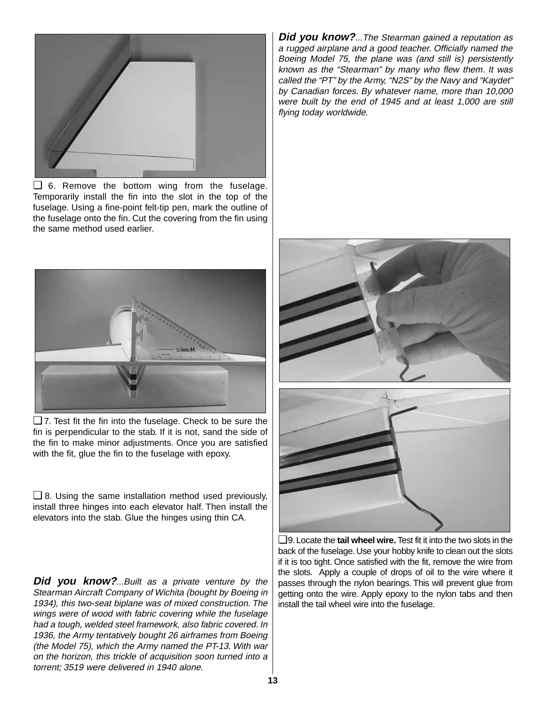![](_page_12_Picture_0.jpeg)

❏ 6. Remove the bottom wing from the fuselage. Temporarily install the fin into the slot in the top of the fuselage. Using a fine-point felt-tip pen, mark the outline of the fuselage onto the fin. Cut the covering from the fin using the same method used earlier.

![](_page_12_Picture_2.jpeg)

❏ 7. Test fit the fin into the fuselage. Check to be sure the fin is perpendicular to the stab. If it is not, sand the side of the fin to make minor adjustments. Once you are satisfied with the fit, glue the fin to the fuselage with epoxy.

 $\Box$  8. Using the same installation method used previously, install three hinges into each elevator half. Then install the elevators into the stab. Glue the hinges using thin CA.

**Did you know?**...Built as a private venture by the Stearman Aircraft Company of Wichita (bought by Boeing in 1934), this two-seat biplane was of mixed construction. The wings were of wood with fabric covering while the fuselage had a tough, welded steel framework, also fabric covered. In 1936, the Army tentatively bought 26 airframes from Boeing (the Model 75), which the Army named the PT-13. With war on the horizon, this trickle of acquisition soon turned into a torrent; 3519 were delivered in 1940 alone.

**Did you know?**...The Stearman gained a reputation as a rugged airplane and a good teacher. Officially named the Boeing Model 75, the plane was (and still is) persistently known as the "Stearman" by many who flew them. It was called the "PT" by the Army, "N2S" by the Navy and "Kaydet" by Canadian forces. By whatever name, more than 10,000 were built by the end of 1945 and at least 1,000 are still flying today worldwide.

![](_page_12_Picture_7.jpeg)

❏9. Locate the **tail wheel wire.**Test fit it into the two slots in the back of the fuselage. Use your hobby knife to clean out the slots if it is too tight. Once satisfied with the fit, remove the wire from the slots. Apply a couple of drops of oil to the wire where it passes through the nylon bearings. This will prevent glue from getting onto the wire. Apply epoxy to the nylon tabs and then install the tail wheel wire into the fuselage.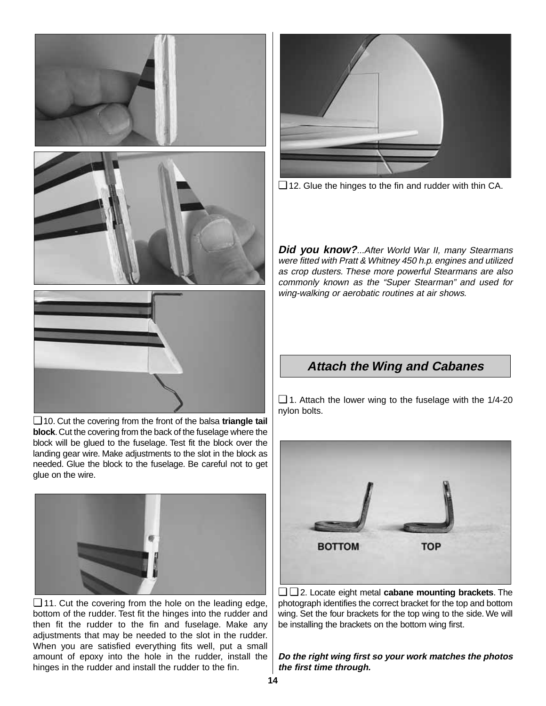![](_page_13_Picture_0.jpeg)

❏ 10. Cut the covering from the front of the balsa **triangle tail block**.Cut the covering from the back of the fuselage where the block will be glued to the fuselage. Test fit the block over the landing gear wire. Make adjustments to the slot in the block as needed. Glue the block to the fuselage. Be careful not to get glue on the wire.

![](_page_13_Picture_2.jpeg)

❏ 11. Cut the covering from the hole on the leading edge, bottom of the rudder. Test fit the hinges into the rudder and then fit the rudder to the fin and fuselage. Make any adjustments that may be needed to the slot in the rudder. When you are satisfied everything fits well, put a small amount of epoxy into the hole in the rudder, install the hinges in the rudder and install the rudder to the fin.

![](_page_13_Picture_4.jpeg)

❏ 12. Glue the hinges to the fin and rudder with thin CA.

**Did you know?**...After World War II, many Stearmans were fitted with Pratt & Whitney 450 h.p. engines and utilized as crop dusters. These more powerful Stearmans are also commonly known as the "Super Stearman" and used for wing-walking or aerobatic routines at air shows.

## **Attach the Wing and Cabanes**

 $\Box$  1. Attach the lower wing to the fuselage with the 1/4-20 nylon bolts.

![](_page_13_Picture_9.jpeg)

❏ ❏ 2. Locate eight metal **cabane mounting brackets**. The photograph identifies the correct bracket for the top and bottom wing. Set the four brackets for the top wing to the side. We will be installing the brackets on the bottom wing first.

**Do the right wing first so your work matches the photos the first time through.**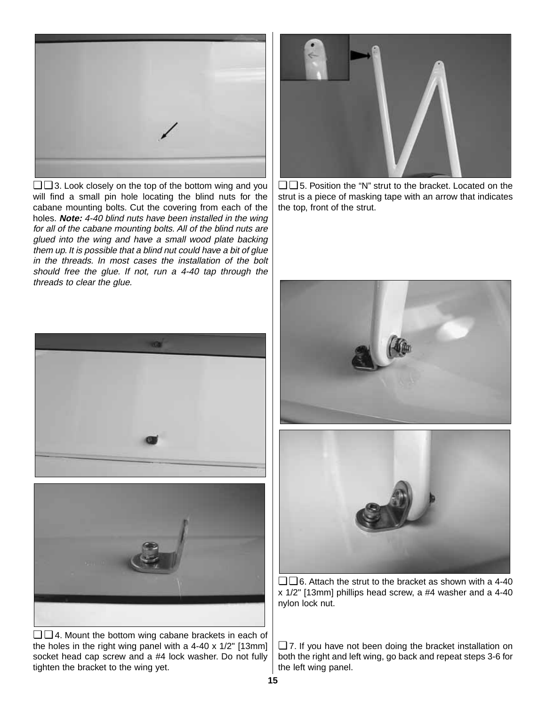![](_page_14_Picture_0.jpeg)

❏ ❏ 3. Look closely on the top of the bottom wing and you will find a small pin hole locating the blind nuts for the cabane mounting bolts. Cut the covering from each of the holes. **Note:** 4-40 blind nuts have been installed in the wing for all of the cabane mounting bolts. All of the blind nuts are glued into the wing and have a small wood plate backing them up. It is possible that a blind nut could have a bit of glue in the threads. In most cases the installation of the bolt should free the glue. If not, run a 4-40 tap through the threads to clear the glue.

![](_page_14_Picture_2.jpeg)

❏ ❏ 5. Position the "N" strut to the bracket. Located on the strut is a piece of masking tape with an arrow that indicates the top, front of the strut.

![](_page_14_Picture_4.jpeg)

![](_page_14_Picture_5.jpeg)

❏ ❏ 4. Mount the bottom wing cabane brackets in each of the holes in the right wing panel with a 4-40 x 1/2" [13mm] socket head cap screw and a #4 lock washer. Do not fully tighten the bracket to the wing yet.

![](_page_14_Picture_7.jpeg)

❏ ❏ 6. Attach the strut to the bracket as shown with a 4-40 x 1/2" [13mm] phillips head screw, a #4 washer and a 4-40 nylon lock nut.

❏ 7. If you have not been doing the bracket installation on both the right and left wing, go back and repeat steps 3-6 for the left wing panel.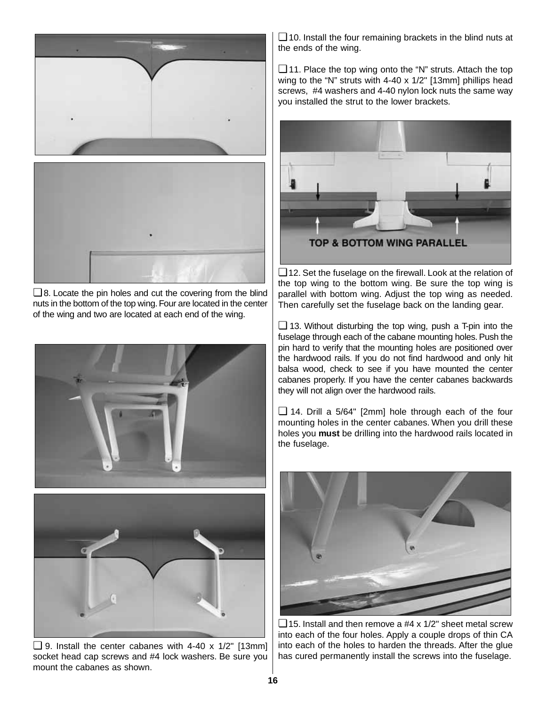![](_page_15_Picture_0.jpeg)

❏ 8. Locate the pin holes and cut the covering from the blind nuts in the bottom of the top wing. Four are located in the center of the wing and two are located at each end of the wing.

![](_page_15_Picture_2.jpeg)

![](_page_15_Picture_3.jpeg)

❏ 9. Install the center cabanes with 4-40 x 1/2" [13mm] socket head cap screws and #4 lock washers. Be sure you mount the cabanes as shown.

 $\Box$  10. Install the four remaining brackets in the blind nuts at the ends of the wing.

❏ 11. Place the top wing onto the "N" struts. Attach the top wing to the "N" struts with 4-40 x 1/2" [13mm] phillips head screws, #4 washers and 4-40 nylon lock nuts the same way you installed the strut to the lower brackets.

![](_page_15_Picture_7.jpeg)

❏ 12. Set the fuselage on the firewall. Look at the relation of the top wing to the bottom wing. Be sure the top wing is parallel with bottom wing. Adjust the top wing as needed. Then carefully set the fuselage back on the landing gear.

 $\Box$  13. Without disturbing the top wing, push a T-pin into the fuselage through each of the cabane mounting holes. Push the pin hard to verify that the mounting holes are positioned over the hardwood rails. If you do not find hardwood and only hit balsa wood, check to see if you have mounted the center cabanes properly. If you have the center cabanes backwards they will not align over the hardwood rails.

❏ 14. Drill a 5/64" [2mm] hole through each of the four mounting holes in the center cabanes. When you drill these holes you **must** be drilling into the hardwood rails located in the fuselage.

![](_page_15_Picture_11.jpeg)

 $\Box$  15. Install and then remove a #4 x 1/2" sheet metal screw into each of the four holes. Apply a couple drops of thin CA into each of the holes to harden the threads. After the glue has cured permanently install the screws into the fuselage.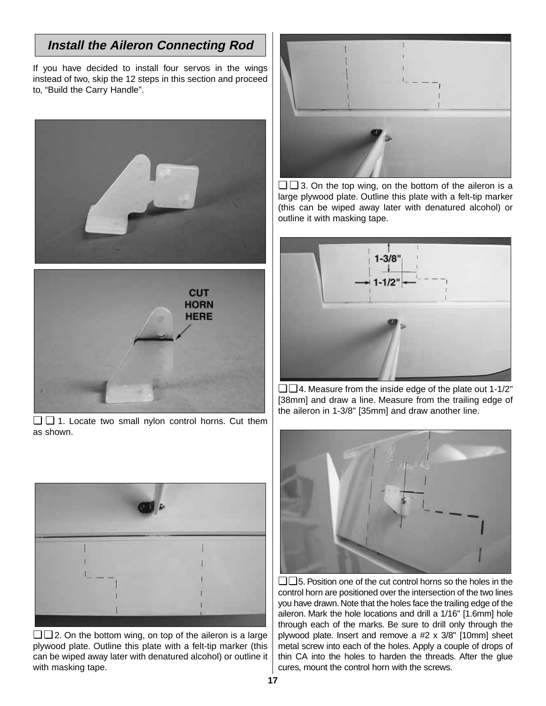# **Install the Aileron Connecting Rod**

If you have decided to install four servos in the wings instead of two, skip the 12 steps in this section and proceed to, "Build the Carry Handle".

![](_page_16_Picture_2.jpeg)

![](_page_16_Picture_3.jpeg)

❏ ❏ 1. Locate two small nylon control horns. Cut them as shown.

![](_page_16_Picture_5.jpeg)

❏ ❏ 2. On the bottom wing, on top of the aileron is a large plywood plate. Outline this plate with a felt-tip marker (this can be wiped away later with denatured alcohol) or outline it with masking tape.

![](_page_16_Picture_7.jpeg)

❏ ❏ 3. On the top wing, on the bottom of the aileron is a large plywood plate. Outline this plate with a felt-tip marker (this can be wiped away later with denatured alcohol) or outline it with masking tape.

![](_page_16_Picture_9.jpeg)

 $\Box$  4. Measure from the inside edge of the plate out 1-1/2" [38mm] and draw a line. Measure from the trailing edge of the aileron in 1-3/8" [35mm] and draw another line.

![](_page_16_Picture_11.jpeg)

❏ ❏ 5. Position one of the cut control horns so the holes in the control horn are positioned over the intersection of the two lines you have drawn. Note that the holes face the trailing edge of the aileron. Mark the hole locations and drill a 1/16" [1.6mm] hole through each of the marks. Be sure to drill only through the plywood plate. Insert and remove a #2 x 3/8" [10mm] sheet metal screw into each of the holes. Apply a couple of drops of thin CA into the holes to harden the threads. After the glue cures, mount the control horn with the screws.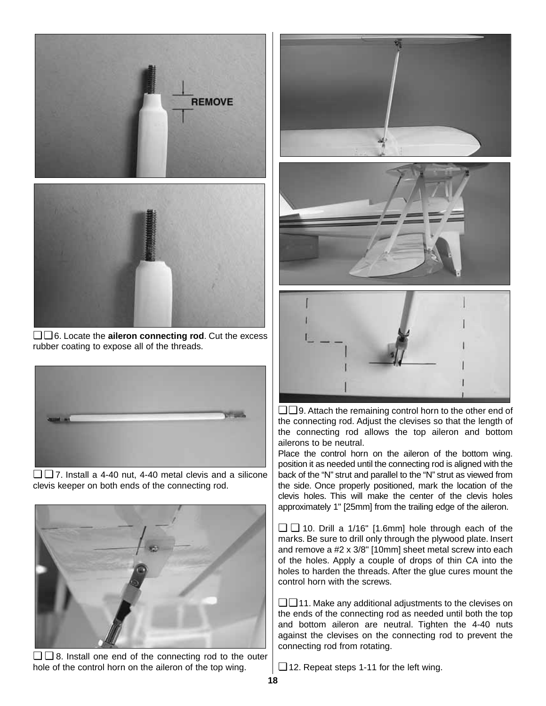![](_page_17_Picture_0.jpeg)

❏ ❏ 6. Locate the **aileron connecting rod**. Cut the excess rubber coating to expose all of the threads.

![](_page_17_Picture_2.jpeg)

❏ ❏ 7. Install a 4-40 nut, 4-40 metal clevis and a silicone clevis keeper on both ends of the connecting rod.

![](_page_17_Picture_4.jpeg)

❏ ❏ 8. Install one end of the connecting rod to the outer hole of the control horn on the aileron of the top wing.

![](_page_17_Picture_6.jpeg)

❏ ❏ 9. Attach the remaining control horn to the other end of the connecting rod. Adjust the clevises so that the length of the connecting rod allows the top aileron and bottom ailerons to be neutral.

Place the control horn on the aileron of the bottom wing. position it as needed until the connecting rod is aligned with the back of the "N" strut and parallel to the "N" strut as viewed from the side. Once properly positioned, mark the location of the clevis holes. This will make the center of the clevis holes approximately 1" [25mm] from the trailing edge of the aileron.

❏ ❏ 10. Drill a 1/16" [1.6mm] hole through each of the marks. Be sure to drill only through the plywood plate. Insert and remove a #2 x 3/8" [10mm] sheet metal screw into each of the holes. Apply a couple of drops of thin CA into the holes to harden the threads. After the glue cures mount the control horn with the screws.

❏ ❏ 11. Make any additional adjustments to the clevises on the ends of the connecting rod as needed until both the top and bottom aileron are neutral. Tighten the 4-40 nuts against the clevises on the connecting rod to prevent the connecting rod from rotating.

❏ 12. Repeat steps 1-11 for the left wing.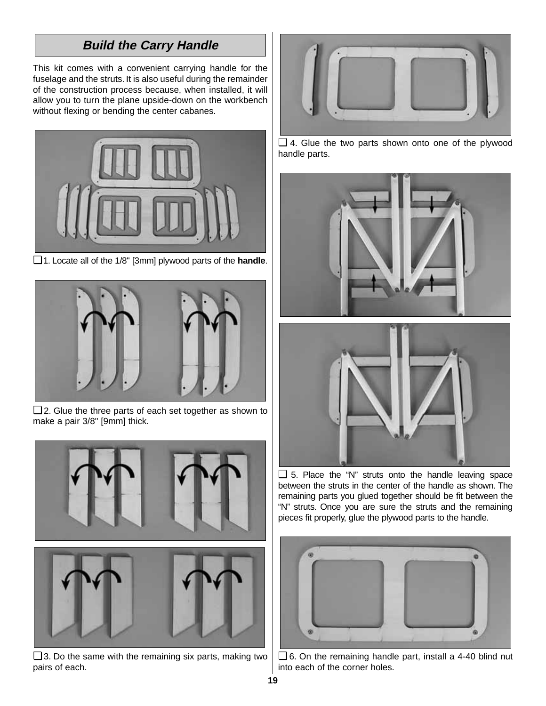# **Build the Carry Handle**

This kit comes with a convenient carrying handle for the fuselage and the struts. It is also useful during the remainder of the construction process because, when installed, it will allow you to turn the plane upside-down on the workbench without flexing or bending the center cabanes.

![](_page_18_Picture_2.jpeg)

❏ 1. Locate all of the 1/8" [3mm] plywood parts of the **handle**.

![](_page_18_Picture_4.jpeg)

❏ 2. Glue the three parts of each set together as shown to make a pair 3/8" [9mm] thick.

![](_page_18_Picture_6.jpeg)

❏ 3. Do the same with the remaining six parts, making two pairs of each.

![](_page_18_Picture_8.jpeg)

❏ 4. Glue the two parts shown onto one of the plywood handle parts.

![](_page_18_Picture_10.jpeg)

❏ 5. Place the "N" struts onto the handle leaving space between the struts in the center of the handle as shown. The remaining parts you glued together should be fit between the "N" struts. Once you are sure the struts and the remaining pieces fit properly, glue the plywood parts to the handle.

![](_page_18_Picture_12.jpeg)

❏ 6. On the remaining handle part, install a 4-40 blind nut into each of the corner holes.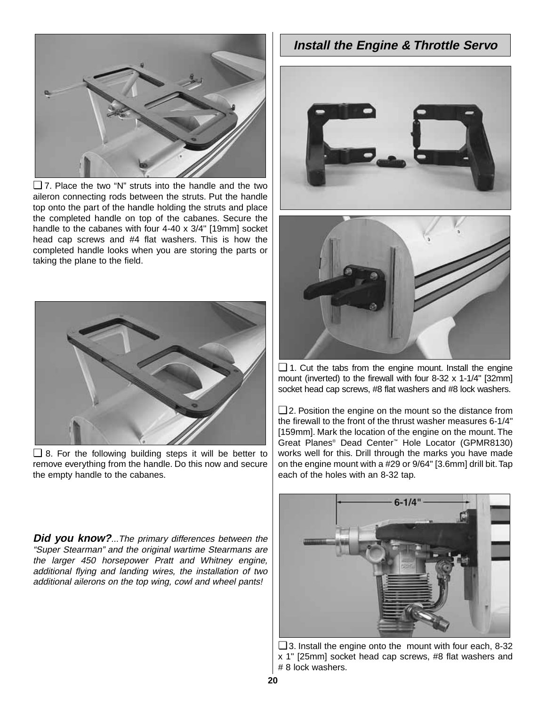![](_page_19_Picture_0.jpeg)

❏ 7. Place the two "N" struts into the handle and the two aileron connecting rods between the struts. Put the handle top onto the part of the handle holding the struts and place the completed handle on top of the cabanes. Secure the handle to the cabanes with four 4-40 x 3/4" [19mm] socket head cap screws and #4 flat washers. This is how the completed handle looks when you are storing the parts or taking the plane to the field.

![](_page_19_Picture_2.jpeg)

❏ 8. For the following building steps it will be better to remove everything from the handle. Do this now and secure the empty handle to the cabanes.

**Did you know?**...The primary differences between the "Super Stearman" and the original wartime Stearmans are the larger 450 horsepower Pratt and Whitney engine, additional flying and landing wires, the installation of two additional ailerons on the top wing, cowl and wheel pants!

## **Install the Engine & Throttle Servo**

![](_page_19_Picture_6.jpeg)

![](_page_19_Picture_7.jpeg)

❏ 1. Cut the tabs from the engine mount. Install the engine mount (inverted) to the firewall with four 8-32 x 1-1/4" [32mm] socket head cap screws, #8 flat washers and #8 lock washers.

❏ 2. Position the engine on the mount so the distance from the firewall to the front of the thrust washer measures 6-1/4" [159mm]. Mark the location of the engine on the mount. The Great Planes® Dead Center™ Hole Locator (GPMR8130) works well for this. Drill through the marks you have made on the engine mount with a #29 or 9/64" [3.6mm] drill bit.Tap each of the holes with an 8-32 tap.

![](_page_19_Picture_10.jpeg)

❏ 3. Install the engine onto the mount with four each, 8-32 x 1" [25mm] socket head cap screws, #8 flat washers and # 8 lock washers.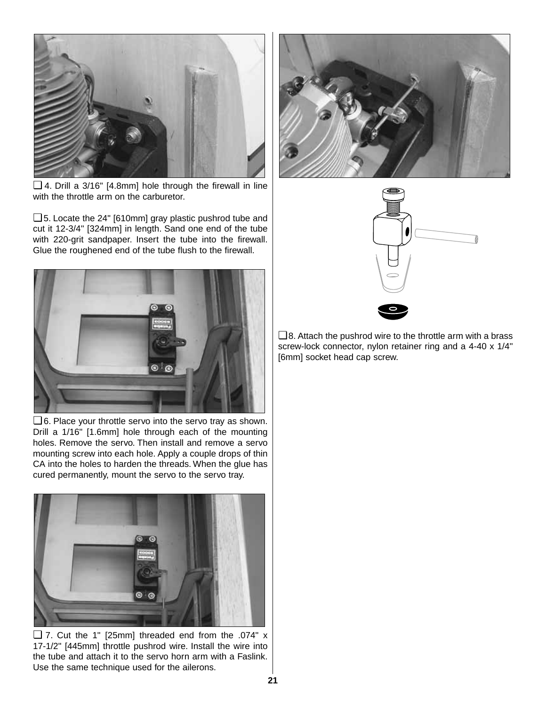![](_page_20_Picture_0.jpeg)

❏ 4. Drill a 3/16" [4.8mm] hole through the firewall in line with the throttle arm on the carburetor.

❏ 5. Locate the 24" [610mm] gray plastic pushrod tube and cut it 12-3/4" [324mm] in length. Sand one end of the tube with 220-grit sandpaper. Insert the tube into the firewall. Glue the roughened end of the tube flush to the firewall.

![](_page_20_Picture_3.jpeg)

❏ 6. Place your throttle servo into the servo tray as shown. Drill a 1/16" [1.6mm] hole through each of the mounting holes. Remove the servo. Then install and remove a servo mounting screw into each hole. Apply a couple drops of thin CA into the holes to harden the threads. When the glue has cured permanently, mount the servo to the servo tray.

![](_page_20_Picture_5.jpeg)

❏ 7. Cut the 1" [25mm] threaded end from the .074" x 17-1/2" [445mm] throttle pushrod wire. Install the wire into the tube and attach it to the servo horn arm with a Faslink. Use the same technique used for the ailerons.

![](_page_20_Picture_7.jpeg)

![](_page_20_Picture_8.jpeg)

❏ 8. Attach the pushrod wire to the throttle arm with a brass screw-lock connector, nylon retainer ring and a 4-40 x 1/4" [6mm] socket head cap screw.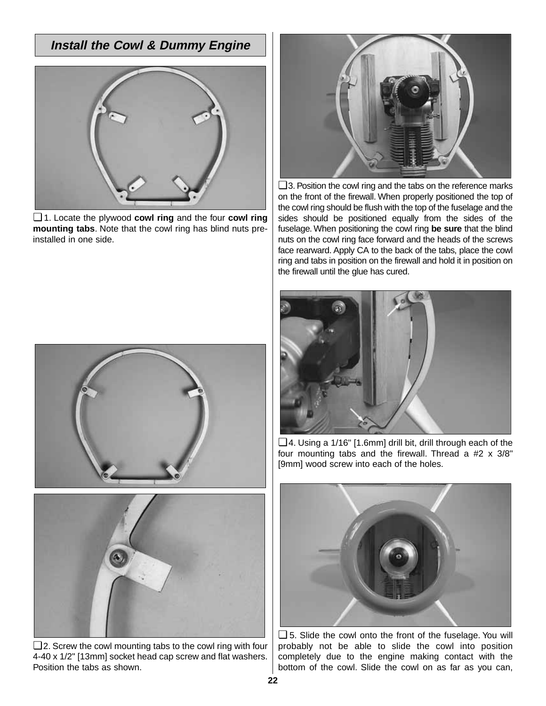# **Install the Cowl & Dummy Engine**

![](_page_21_Picture_1.jpeg)

❏ 1. Locate the plywood **cowl ring** and the four **cowl ring mounting tabs**. Note that the cowl ring has blind nuts preinstalled in one side.

![](_page_21_Picture_3.jpeg)

❏ 2. Screw the cowl mounting tabs to the cowl ring with four 4-40 x 1/2" [13mm] socket head cap screw and flat washers. Position the tabs as shown.

![](_page_21_Picture_5.jpeg)

❏ 3. Position the cowl ring and the tabs on the reference marks on the front of the firewall. When properly positioned the top of the cowl ring should be flush with the top of the fuselage and the sides should be positioned equally from the sides of the fuselage. When positioning the cowl ring **be sure** that the blind nuts on the cowl ring face forward and the heads of the screws face rearward. Apply CA to the back of the tabs, place the cowl ring and tabs in position on the firewall and hold it in position on the firewall until the glue has cured.

![](_page_21_Picture_7.jpeg)

❏ 4. Using a 1/16" [1.6mm] drill bit, drill through each of the four mounting tabs and the firewall. Thread a #2 x 3/8" [9mm] wood screw into each of the holes.

![](_page_21_Picture_9.jpeg)

❏ 5. Slide the cowl onto the front of the fuselage. You will probably not be able to slide the cowl into position completely due to the engine making contact with the bottom of the cowl. Slide the cowl on as far as you can,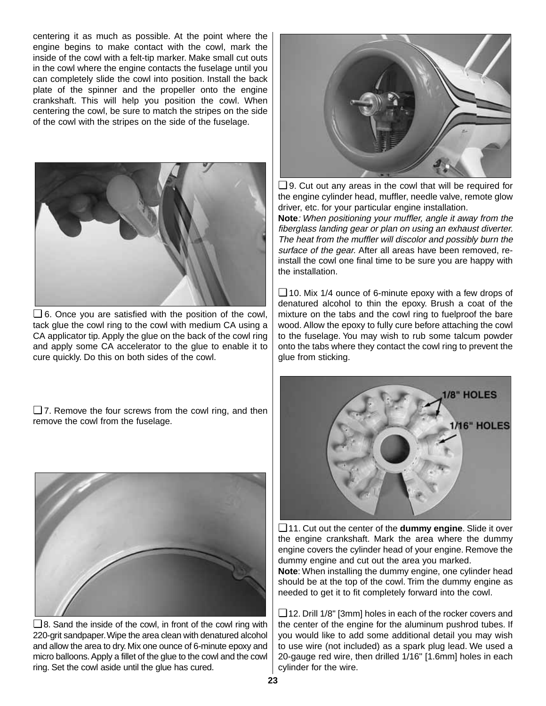centering it as much as possible. At the point where the engine begins to make contact with the cowl, mark the inside of the cowl with a felt-tip marker. Make small cut outs in the cowl where the engine contacts the fuselage until you can completely slide the cowl into position. Install the back plate of the spinner and the propeller onto the engine crankshaft. This will help you position the cowl. When centering the cowl, be sure to match the stripes on the side of the cowl with the stripes on the side of the fuselage.

![](_page_22_Picture_1.jpeg)

❏ 6. Once you are satisfied with the position of the cowl, tack glue the cowl ring to the cowl with medium CA using a CA applicator tip. Apply the glue on the back of the cowl ring and apply some CA accelerator to the glue to enable it to cure quickly. Do this on both sides of the cowl.

❏ 7. Remove the four screws from the cowl ring, and then remove the cowl from the fuselage.

![](_page_22_Picture_4.jpeg)

❏ 8. Sand the inside of the cowl, in front of the cowl ring with 220-grit sandpaper.Wipe the area clean with denatured alcohol and allow the area to dry. Mix one ounce of 6-minute epoxy and micro balloons. Apply a fillet of the glue to the cowl and the cowl ring. Set the cowl aside until the glue has cured.

![](_page_22_Picture_6.jpeg)

❏ 9. Cut out any areas in the cowl that will be required for the engine cylinder head, muffler, needle valve, remote glow driver, etc. for your particular engine installation.

**Note**: When positioning your muffler, angle it away from the fiberglass landing gear or plan on using an exhaust diverter. The heat from the muffler will discolor and possibly burn the surface of the gear. After all areas have been removed, reinstall the cowl one final time to be sure you are happy with the installation.

❏ 10. Mix 1/4 ounce of 6-minute epoxy with a few drops of denatured alcohol to thin the epoxy. Brush a coat of the mixture on the tabs and the cowl ring to fuelproof the bare wood. Allow the epoxy to fully cure before attaching the cowl to the fuselage. You may wish to rub some talcum powder onto the tabs where they contact the cowl ring to prevent the glue from sticking.

![](_page_22_Picture_10.jpeg)

❏ 11. Cut out the center of the **dummy engine**. Slide it over the engine crankshaft. Mark the area where the dummy engine covers the cylinder head of your engine. Remove the dummy engine and cut out the area you marked.

**Note**: When installing the dummy engine, one cylinder head should be at the top of the cowl. Trim the dummy engine as needed to get it to fit completely forward into the cowl.

❏ 12. Drill 1/8" [3mm] holes in each of the rocker covers and the center of the engine for the aluminum pushrod tubes. If you would like to add some additional detail you may wish to use wire (not included) as a spark plug lead. We used a 20-gauge red wire, then drilled 1/16" [1.6mm] holes in each cylinder for the wire.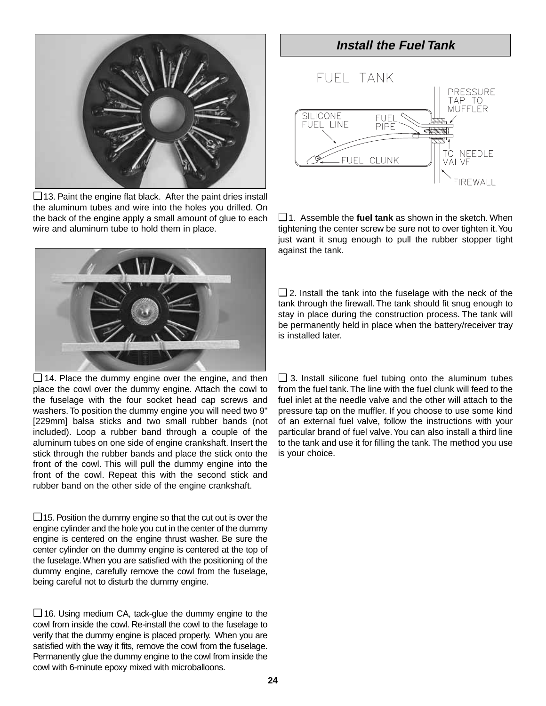![](_page_23_Picture_0.jpeg)

❏ 13. Paint the engine flat black. After the paint dries install the aluminum tubes and wire into the holes you drilled. On the back of the engine apply a small amount of glue to each wire and aluminum tube to hold them in place.

![](_page_23_Picture_2.jpeg)

❏ 14. Place the dummy engine over the engine, and then place the cowl over the dummy engine. Attach the cowl to the fuselage with the four socket head cap screws and washers. To position the dummy engine you will need two 9" [229mm] balsa sticks and two small rubber bands (not included). Loop a rubber band through a couple of the aluminum tubes on one side of engine crankshaft. Insert the stick through the rubber bands and place the stick onto the front of the cowl. This will pull the dummy engine into the front of the cowl. Repeat this with the second stick and rubber band on the other side of the engine crankshaft.

 $\Box$  15. Position the dummy engine so that the cut out is over the engine cylinder and the hole you cut in the center of the dummy engine is centered on the engine thrust washer. Be sure the center cylinder on the dummy engine is centered at the top of the fuselage. When you are satisfied with the positioning of the dummy engine, carefully remove the cowl from the fuselage, being careful not to disturb the dummy engine.

❏ 16. Using medium CA, tack-glue the dummy engine to the cowl from inside the cowl. Re-install the cowl to the fuselage to verify that the dummy engine is placed properly. When you are satisfied with the way it fits, remove the cowl from the fuselage. Permanently glue the dummy engine to the cowl from inside the cowl with 6-minute epoxy mixed with microballoons.

![](_page_23_Figure_6.jpeg)

❏ 1. Assemble the **fuel tank** as shown in the sketch. When tightening the center screw be sure not to over tighten it.You just want it snug enough to pull the rubber stopper tight against the tank.

❏ 2. Install the tank into the fuselage with the neck of the tank through the firewall. The tank should fit snug enough to stay in place during the construction process. The tank will be permanently held in place when the battery/receiver tray is installed later.

❏ 3. Install silicone fuel tubing onto the aluminum tubes from the fuel tank. The line with the fuel clunk will feed to the fuel inlet at the needle valve and the other will attach to the pressure tap on the muffler. If you choose to use some kind of an external fuel valve, follow the instructions with your particular brand of fuel valve.You can also install a third line to the tank and use it for filling the tank. The method you use is your choice.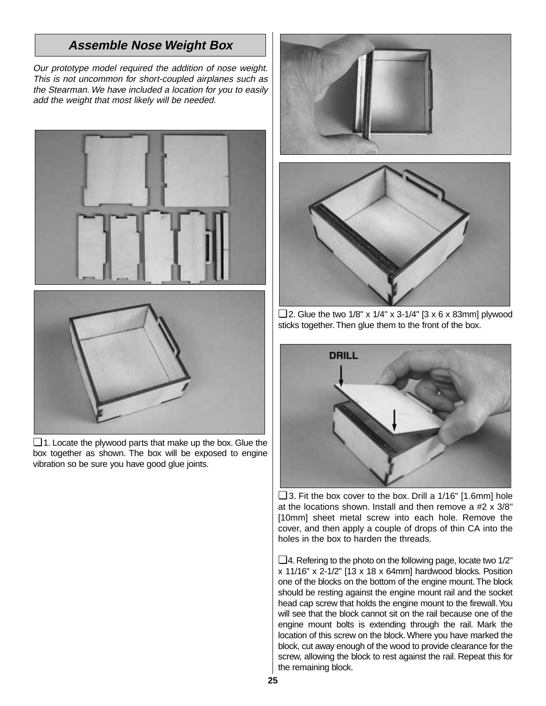# **Assemble Nose Weight Box**

Our prototype model required the addition of nose weight. This is not uncommon for short-coupled airplanes such as the Stearman. We have included a location for you to easily add the weight that most likely will be needed.

![](_page_24_Picture_2.jpeg)

❏ 1. Locate the plywood parts that make up the box. Glue the box together as shown. The box will be exposed to engine vibration so be sure you have good glue joints.

![](_page_24_Picture_4.jpeg)

 $\Box$  2. Glue the two 1/8" x 1/4" x 3-1/4" [3 x 6 x 83mm] plywood sticks together. Then glue them to the front of the box.

![](_page_24_Picture_6.jpeg)

 $\Box$  3. Fit the box cover to the box. Drill a 1/16" [1.6mm] hole at the locations shown. Install and then remove a #2 x 3/8" [10mm] sheet metal screw into each hole. Remove the cover, and then apply a couple of drops of thin CA into the holes in the box to harden the threads.

❏4. Refering to the photo on the following page, locate two 1/2" x 11/16" x 2-1/2" [13 x 18 x 64mm] hardwood blocks. Position one of the blocks on the bottom of the engine mount.The block should be resting against the engine mount rail and the socket head cap screw that holds the engine mount to the firewall. You will see that the block cannot sit on the rail because one of the engine mount bolts is extending through the rail. Mark the location of this screw on the block. Where you have marked the block, cut away enough of the wood to provide clearance for the screw, allowing the block to rest against the rail. Repeat this for the remaining block.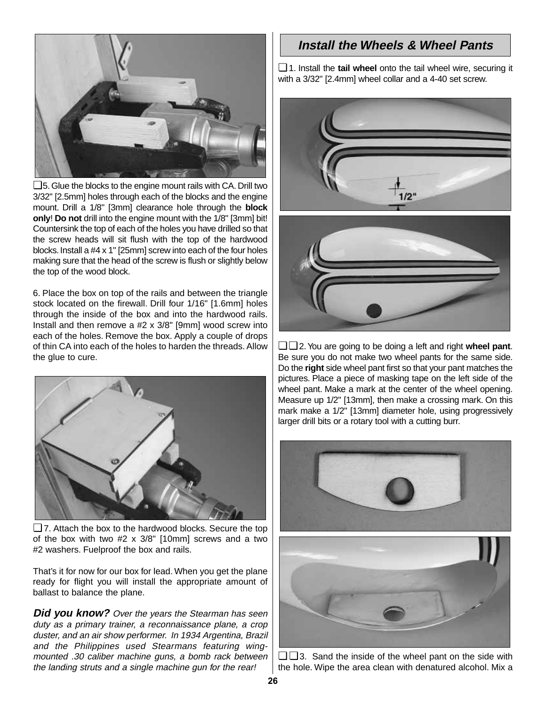![](_page_25_Picture_0.jpeg)

 $\Box$  5. Glue the blocks to the engine mount rails with CA. Drill two 3/32" [2.5mm] holes through each of the blocks and the engine mount. Drill a 1/8" [3mm] clearance hole through the **block only**! **Do not** drill into the engine mount with the 1/8" [3mm] bit! Countersink the top of each of the holes you have drilled so that the screw heads will sit flush with the top of the hardwood blocks.Install a #4 x 1" [25mm] screw into each of the four holes making sure that the head of the screw is flush or slightly below the top of the wood block.

6. Place the box on top of the rails and between the triangle stock located on the firewall. Drill four 1/16" [1.6mm] holes through the inside of the box and into the hardwood rails. Install and then remove a #2 x 3/8" [9mm] wood screw into each of the holes. Remove the box. Apply a couple of drops of thin CA into each of the holes to harden the threads. Allow the glue to cure.

![](_page_25_Picture_3.jpeg)

❏ 7. Attach the box to the hardwood blocks. Secure the top of the box with two #2 x 3/8" [10mm] screws and a two #2 washers. Fuelproof the box and rails.

That's it for now for our box for lead. When you get the plane ready for flight you will install the appropriate amount of ballast to balance the plane.

**Did you know?** Over the years the Stearman has seen duty as a primary trainer, a reconnaissance plane, a crop duster, and an air show performer. In 1934 Argentina, Brazil and the Philippines used Stearmans featuring wingmounted .30 caliber machine guns, a bomb rack between the landing struts and a single machine gun for the rear!

# **Install the Wheels & Wheel Pants**

❏ 1. Install the **tail wheel** onto the tail wheel wire, securing it with a 3/32" [2.4mm] wheel collar and a 4-40 set screw.

![](_page_25_Picture_9.jpeg)

![](_page_25_Picture_10.jpeg)

❏ ❏ 2.You are going to be doing a left and right **wheel pant**. Be sure you do not make two wheel pants for the same side. Do the **right** side wheel pant first so that your pant matches the pictures. Place a piece of masking tape on the left side of the wheel pant. Make a mark at the center of the wheel opening. Measure up 1/2" [13mm], then make a crossing mark. On this mark make a 1/2" [13mm] diameter hole, using progressively larger drill bits or a rotary tool with a cutting burr.

![](_page_25_Picture_12.jpeg)

❏ ❏ 3. Sand the inside of the wheel pant on the side with the hole. Wipe the area clean with denatured alcohol. Mix a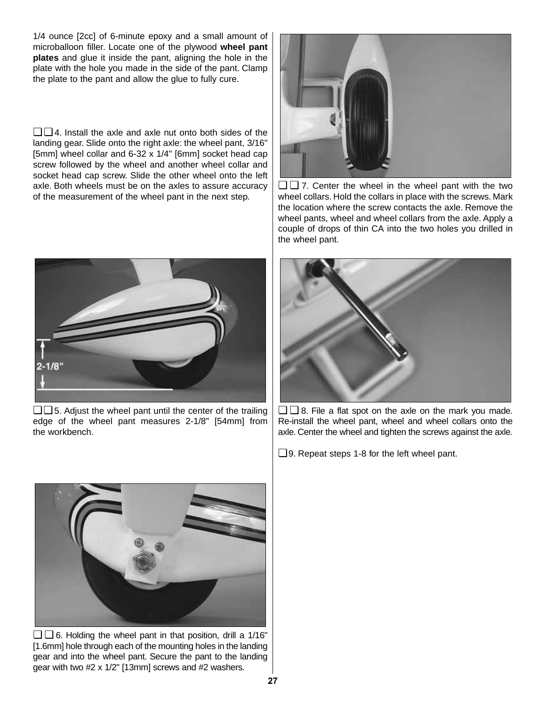1/4 ounce [2cc] of 6-minute epoxy and a small amount of microballoon filler. Locate one of the plywood **wheel pant plates** and glue it inside the pant, aligning the hole in the plate with the hole you made in the side of the pant. Clamp the plate to the pant and allow the glue to fully cure.

❏ ❏ 4. Install the axle and axle nut onto both sides of the landing gear. Slide onto the right axle: the wheel pant, 3/16" [5mm] wheel collar and 6-32 x 1/4" [6mm] socket head cap screw followed by the wheel and another wheel collar and socket head cap screw. Slide the other wheel onto the left axle. Both wheels must be on the axles to assure accuracy of the measurement of the wheel pant in the next step.

![](_page_26_Picture_2.jpeg)

 $\Box$  5. Adjust the wheel pant until the center of the trailing edge of the wheel pant measures 2-1/8" [54mm] from the workbench.

![](_page_26_Picture_4.jpeg)

❏ ❏ 7. Center the wheel in the wheel pant with the two wheel collars. Hold the collars in place with the screws. Mark the location where the screw contacts the axle. Remove the wheel pants, wheel and wheel collars from the axle. Apply a couple of drops of thin CA into the two holes you drilled in the wheel pant.

![](_page_26_Picture_6.jpeg)

❏ ❏ 8. File a flat spot on the axle on the mark you made. Re-install the wheel pant, wheel and wheel collars onto the axle. Center the wheel and tighten the screws against the axle.

❏ 9. Repeat steps 1-8 for the left wheel pant.

![](_page_26_Picture_9.jpeg)

 $\Box$   $\Box$  6. Holding the wheel pant in that position, drill a 1/16" [1.6mm] hole through each of the mounting holes in the landing gear and into the wheel pant. Secure the pant to the landing gear with two #2 x 1/2" [13mm] screws and #2 washers.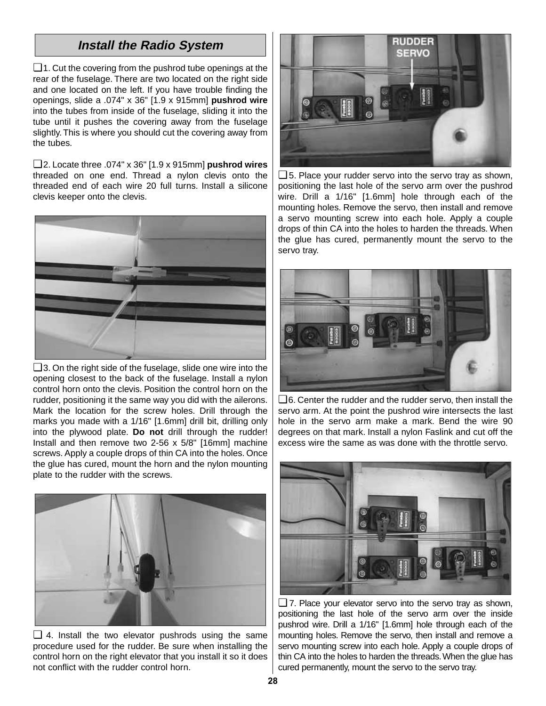# **Install the Radio System**

❏ 1. Cut the covering from the pushrod tube openings at the rear of the fuselage. There are two located on the right side and one located on the left. If you have trouble finding the openings, slide a .074" x 36" [1.9 x 915mm] **pushrod wire** into the tubes from inside of the fuselage, sliding it into the tube until it pushes the covering away from the fuselage slightly. This is where you should cut the covering away from the tubes.

❏ 2. Locate three .074" x 36" [1.9 x 915mm] **pushrod wires** threaded on one end. Thread a nylon clevis onto the threaded end of each wire 20 full turns. Install a silicone clevis keeper onto the clevis.

![](_page_27_Picture_3.jpeg)

❏ 3. On the right side of the fuselage, slide one wire into the opening closest to the back of the fuselage. Install a nylon control horn onto the clevis. Position the control horn on the rudder, positioning it the same way you did with the ailerons. Mark the location for the screw holes. Drill through the marks you made with a 1/16" [1.6mm] drill bit, drilling only into the plywood plate. **Do not** drill through the rudder! Install and then remove two 2-56 x 5/8" [16mm] machine screws. Apply a couple drops of thin CA into the holes. Once the glue has cured, mount the horn and the nylon mounting plate to the rudder with the screws.

![](_page_27_Picture_5.jpeg)

 $\Box$  4. Install the two elevator pushrods using the same procedure used for the rudder. Be sure when installing the control horn on the right elevator that you install it so it does not conflict with the rudder control horn.

![](_page_27_Picture_7.jpeg)

❏ 5. Place your rudder servo into the servo tray as shown, positioning the last hole of the servo arm over the pushrod wire. Drill a 1/16" [1.6mm] hole through each of the mounting holes. Remove the servo, then install and remove a servo mounting screw into each hole. Apply a couple drops of thin CA into the holes to harden the threads. When the glue has cured, permanently mount the servo to the servo tray.

![](_page_27_Picture_9.jpeg)

❏ 6. Center the rudder and the rudder servo, then install the servo arm. At the point the pushrod wire intersects the last hole in the servo arm make a mark. Bend the wire 90 degrees on that mark. Install a nylon Faslink and cut off the excess wire the same as was done with the throttle servo.

![](_page_27_Picture_11.jpeg)

❏ 7. Place your elevator servo into the servo tray as shown, positioning the last hole of the servo arm over the inside pushrod wire. Drill a 1/16" [1.6mm] hole through each of the mounting holes. Remove the servo, then install and remove a servo mounting screw into each hole. Apply a couple drops of thin CA into the holes to harden the threads.When the glue has cured permanently, mount the servo to the servo tray.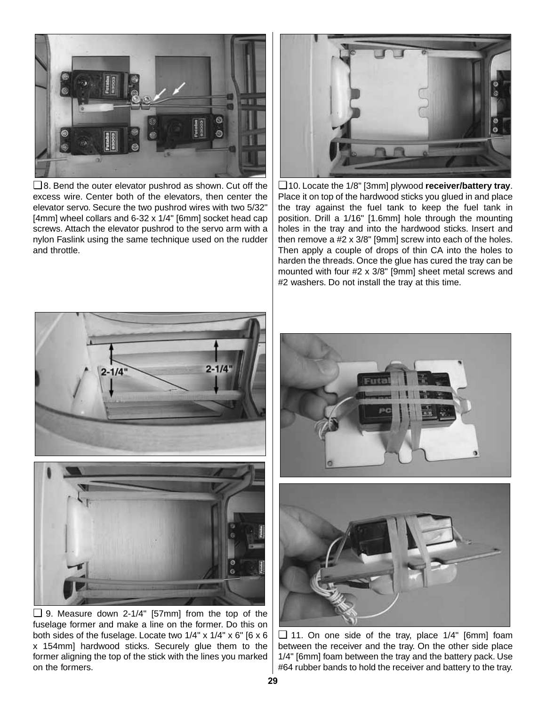![](_page_28_Picture_0.jpeg)

❏ 8. Bend the outer elevator pushrod as shown. Cut off the excess wire. Center both of the elevators, then center the elevator servo. Secure the two pushrod wires with two 5/32" [4mm] wheel collars and 6-32 x 1/4" [6mm] socket head cap screws. Attach the elevator pushrod to the servo arm with a nylon Faslink using the same technique used on the rudder and throttle.

![](_page_28_Picture_2.jpeg)

❏ 10. Locate the 1/8" [3mm] plywood **receiver/battery tray**. Place it on top of the hardwood sticks you glued in and place the tray against the fuel tank to keep the fuel tank in position. Drill a 1/16" [1.6mm] hole through the mounting holes in the tray and into the hardwood sticks. Insert and then remove a #2 x 3/8" [9mm] screw into each of the holes. Then apply a couple of drops of thin CA into the holes to harden the threads. Once the glue has cured the tray can be mounted with four #2 x 3/8" [9mm] sheet metal screws and #2 washers. Do not install the tray at this time.

![](_page_28_Picture_4.jpeg)

❏ 9. Measure down 2-1/4" [57mm] from the top of the fuselage former and make a line on the former. Do this on both sides of the fuselage. Locate two 1/4" x 1/4" x 6" [6 x 6 x 154mm] hardwood sticks. Securely glue them to the former aligning the top of the stick with the lines you marked on the formers.

![](_page_28_Picture_6.jpeg)

![](_page_28_Picture_7.jpeg)

❏ 11. On one side of the tray, place 1/4" [6mm] foam between the receiver and the tray. On the other side place 1/4" [6mm] foam between the tray and the battery pack. Use #64 rubber bands to hold the receiver and battery to the tray.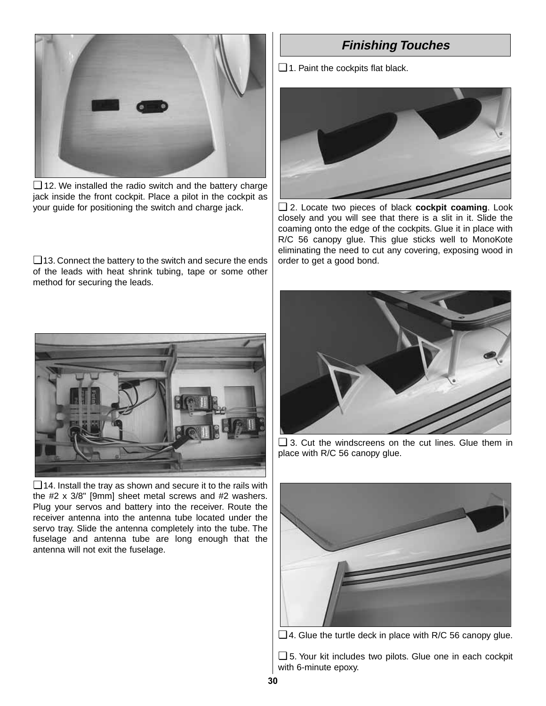![](_page_29_Picture_0.jpeg)

❏ 12. We installed the radio switch and the battery charge jack inside the front cockpit. Place a pilot in the cockpit as your guide for positioning the switch and charge jack.

❏ 13. Connect the battery to the switch and secure the ends of the leads with heat shrink tubing, tape or some other method for securing the leads.

![](_page_29_Picture_3.jpeg)

❏ 14. Install the tray as shown and secure it to the rails with the #2 x 3/8" [9mm] sheet metal screws and #2 washers. Plug your servos and battery into the receiver. Route the receiver antenna into the antenna tube located under the servo tray. Slide the antenna completely into the tube. The fuselage and antenna tube are long enough that the antenna will not exit the fuselage.

# **Finishing Touches**

❏ 1. Paint the cockpits flat black.

![](_page_29_Picture_7.jpeg)

❏ 2. Locate two pieces of black **cockpit coaming**. Look closely and you will see that there is a slit in it. Slide the coaming onto the edge of the cockpits. Glue it in place with R/C 56 canopy glue. This glue sticks well to MonoKote eliminating the need to cut any covering, exposing wood in order to get a good bond.

![](_page_29_Picture_9.jpeg)

❏ 3. Cut the windscreens on the cut lines. Glue them in place with R/C 56 canopy glue.

![](_page_29_Picture_11.jpeg)

❏ 4. Glue the turtle deck in place with R/C 56 canopy glue.

❏ 5. Your kit includes two pilots. Glue one in each cockpit with 6-minute epoxy.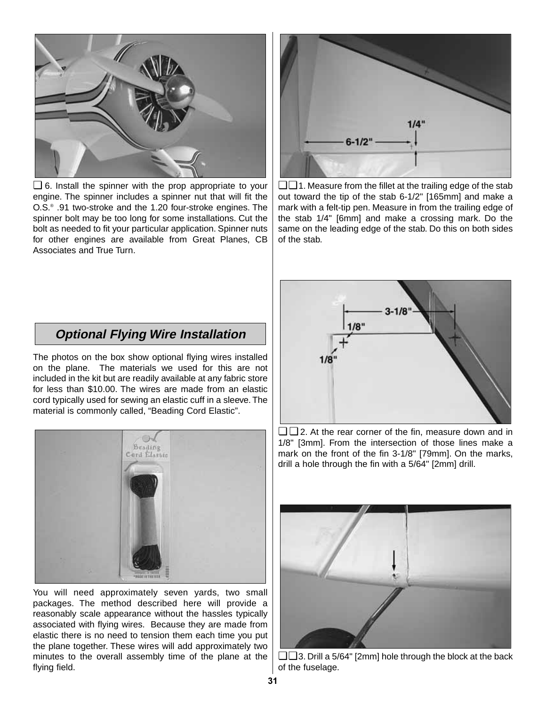![](_page_30_Picture_0.jpeg)

❏ 6. Install the spinner with the prop appropriate to your engine. The spinner includes a spinner nut that will fit the O.S.® .91 two-stroke and the 1.20 four-stroke engines. The spinner bolt may be too long for some installations. Cut the bolt as needed to fit your particular application. Spinner nuts for other engines are available from Great Planes, CB Associates and True Turn.

![](_page_30_Figure_2.jpeg)

❏ ❏ 1. Measure from the fillet at the trailing edge of the stab out toward the tip of the stab 6-1/2" [165mm] and make a mark with a felt-tip pen. Measure in from the trailing edge of the stab 1/4" [6mm] and make a crossing mark. Do the same on the leading edge of the stab. Do this on both sides of the stab.

## **Optional Flying Wire Installation**

The photos on the box show optional flying wires installed on the plane. The materials we used for this are not included in the kit but are readily available at any fabric store for less than \$10.00. The wires are made from an elastic cord typically used for sewing an elastic cuff in a sleeve. The material is commonly called, "Beading Cord Elastic".

![](_page_30_Picture_6.jpeg)

You will need approximately seven yards, two small packages. The method described here will provide a reasonably scale appearance without the hassles typically associated with flying wires. Because they are made from elastic there is no need to tension them each time you put the plane together. These wires will add approximately two minutes to the overall assembly time of the plane at the flying field.

![](_page_30_Figure_8.jpeg)

❏ ❏ 2. At the rear corner of the fin, measure down and in 1/8" [3mm]. From the intersection of those lines make a mark on the front of the fin 3-1/8" [79mm]. On the marks, drill a hole through the fin with a 5/64" [2mm] drill.

![](_page_30_Picture_10.jpeg)

❏ ❏ 3. Drill a 5/64" [2mm] hole through the block at the back of the fuselage.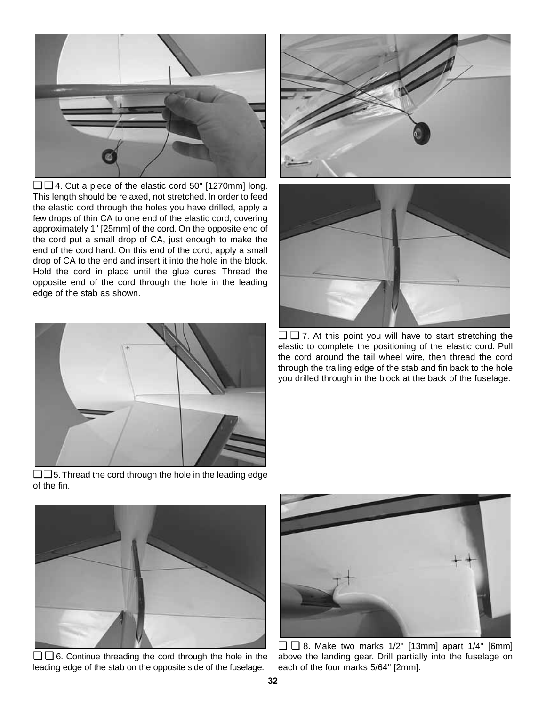![](_page_31_Picture_0.jpeg)

❏ ❏ 4. Cut a piece of the elastic cord 50" [1270mm] long. This length should be relaxed, not stretched. In order to feed the elastic cord through the holes you have drilled, apply a few drops of thin CA to one end of the elastic cord, covering approximately 1" [25mm] of the cord. On the opposite end of the cord put a small drop of CA, just enough to make the end of the cord hard. On this end of the cord, apply a small drop of CA to the end and insert it into the hole in the block. Hold the cord in place until the glue cures. Thread the opposite end of the cord through the hole in the leading edge of the stab as shown.

![](_page_31_Picture_2.jpeg)

❏ ❏ 5. Thread the cord through the hole in the leading edge of the fin.

![](_page_31_Picture_4.jpeg)

![](_page_31_Picture_5.jpeg)

 $\Box$   $\Box$  7. At this point you will have to start stretching the elastic to complete the positioning of the elastic cord. Pull the cord around the tail wheel wire, then thread the cord through the trailing edge of the stab and fin back to the hole you drilled through in the block at the back of the fuselage.

![](_page_31_Picture_7.jpeg)

❏ ❏ 6. Continue threading the cord through the hole in the leading edge of the stab on the opposite side of the fuselage.

![](_page_31_Picture_9.jpeg)

 $\Box$  3. Make two marks 1/2" [13mm] apart 1/4" [6mm] above the landing gear. Drill partially into the fuselage on each of the four marks 5/64" [2mm].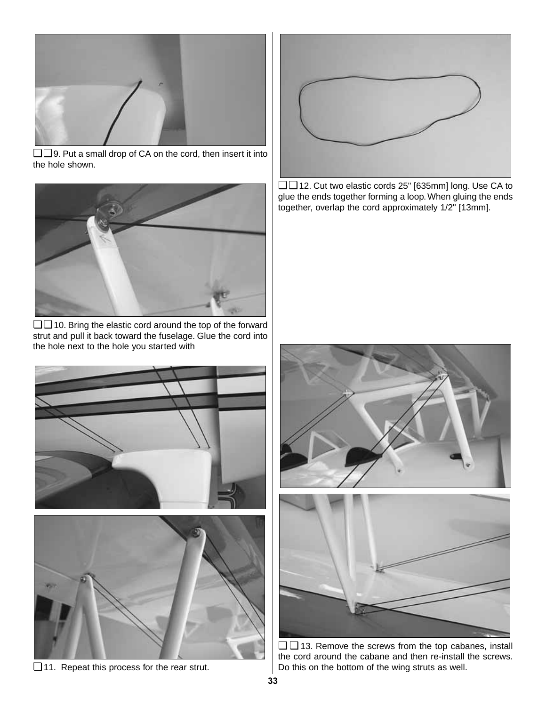![](_page_32_Picture_0.jpeg)

❏ ❏ 9. Put a small drop of CA on the cord, then insert it into the hole shown.

![](_page_32_Picture_2.jpeg)

❏ ❏ 10. Bring the elastic cord around the top of the forward strut and pull it back toward the fuselage. Glue the cord into the hole next to the hole you started with

![](_page_32_Picture_4.jpeg)

❏ 11. Repeat this process for the rear strut.

![](_page_32_Picture_6.jpeg)

❏ ❏ 12. Cut two elastic cords 25" [635mm] long. Use CA to glue the ends together forming a loop. When gluing the ends together, overlap the cord approximately 1/2" [13mm].

![](_page_32_Picture_8.jpeg)

❏ ❏ 13. Remove the screws from the top cabanes, install the cord around the cabane and then re-install the screws. Do this on the bottom of the wing struts as well.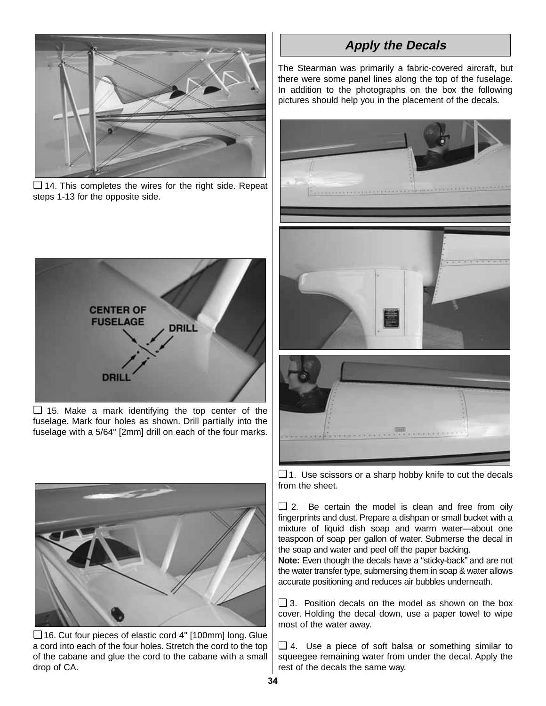![](_page_33_Picture_0.jpeg)

❏ 14. This completes the wires for the right side. Repeat steps 1-13 for the opposite side.

![](_page_33_Figure_2.jpeg)

❏ 15. Make a mark identifying the top center of the fuselage. Mark four holes as shown. Drill partially into the fuselage with a 5/64" [2mm] drill on each of the four marks.

![](_page_33_Picture_4.jpeg)

❏ 16. Cut four pieces of elastic cord 4" [100mm] long. Glue a cord into each of the four holes. Stretch the cord to the top of the cabane and glue the cord to the cabane with a small drop of CA.

# **Apply the Decals**

The Stearman was primarily a fabric-covered aircraft, but there were some panel lines along the top of the fuselage. In addition to the photographs on the box the following pictures should help you in the placement of the decals.

![](_page_33_Picture_8.jpeg)

 $\Box$  1. Use scissors or a sharp hobby knife to cut the decals from the sheet.

❏ 2. Be certain the model is clean and free from oily fingerprints and dust. Prepare a dishpan or small bucket with a mixture of liquid dish soap and warm water—about one teaspoon of soap per gallon of water. Submerse the decal in the soap and water and peel off the paper backing.

**Note:** Even though the decals have a "sticky-back" and are not the water transfer type, submersing them in soap & water allows accurate positioning and reduces air bubbles underneath.

❏ 3. Position decals on the model as shown on the box cover. Holding the decal down, use a paper towel to wipe most of the water away.

❏ 4. Use a piece of soft balsa or something similar to squeegee remaining water from under the decal. Apply the rest of the decals the same way.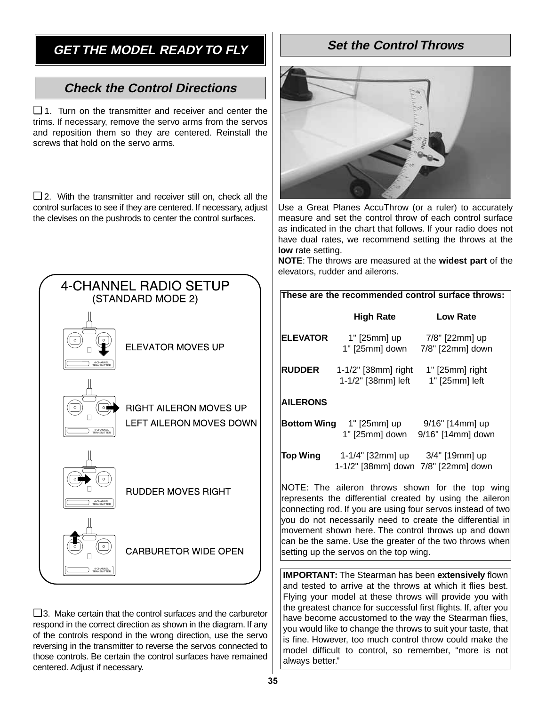# **GET THE MODEL READY TO FLY**

# **Check the Control Directions**

❏ 1. Turn on the transmitter and receiver and center the trims. If necessary, remove the servo arms from the servos and reposition them so they are centered. Reinstall the screws that hold on the servo arms.

❏ 2. With the transmitter and receiver still on, check all the control surfaces to see if they are centered. If necessary, adjust the clevises on the pushrods to center the control surfaces.

![](_page_34_Figure_4.jpeg)

❏ 3. Make certain that the control surfaces and the carburetor respond in the correct direction as shown in the diagram. If any of the controls respond in the wrong direction, use the servo reversing in the transmitter to reverse the servos connected to those controls. Be certain the control surfaces have remained centered. Adjust if necessary.

# **Set the Control Throws**

![](_page_34_Picture_7.jpeg)

Use a Great Planes AccuThrow (or a ruler) to accurately measure and set the control throw of each control surface as indicated in the chart that follows. If your radio does not have dual rates, we recommend setting the throws at the **low** rate setting.

**NOTE**: The throws are measured at the **widest part** of the elevators, rudder and ailerons.

#### **These are the recommended control surface throws:**

|                    | <b>High Rate</b>                                        | <b>Low Rate</b>                      |
|--------------------|---------------------------------------------------------|--------------------------------------|
| <b>ELEVATOR</b>    | 1" [25mm] up<br>1" [25mm] down                          | 7/8" [22mm] up<br>7/8" [22mm] down   |
| <b>RUDDER</b>      | 1-1/2" [38mm] right<br>1-1/2" [38mm] left               | $1"$ [25mm] right<br>1" [25mm] left  |
| <b>AILERONS</b>    |                                                         |                                      |
| <b>Bottom Wing</b> | 1" [25mm] up<br>1" [25mm] down                          | 9/16" [14mm] up<br>9/16" [14mm] down |
| Top Wing           | 1-1/4" [32mm] up<br>1-1/2" [38mm] down 7/8" [22mm] down | 3/4" [19mm] up                       |

NOTE: The aileron throws shown for the top wing represents the differential created by using the aileron connecting rod. If you are using four servos instead of two you do not necessarily need to create the differential in movement shown here. The control throws up and down can be the same. Use the greater of the two throws when setting up the servos on the top wing.

**IMPORTANT:** The Stearman has been **extensively** flown and tested to arrive at the throws at which it flies best. Flying your model at these throws will provide you with the greatest chance for successful first flights. If, after you have become accustomed to the way the Stearman flies, you would like to change the throws to suit your taste, that is fine. However, too much control throw could make the model difficult to control, so remember, "more is not always better."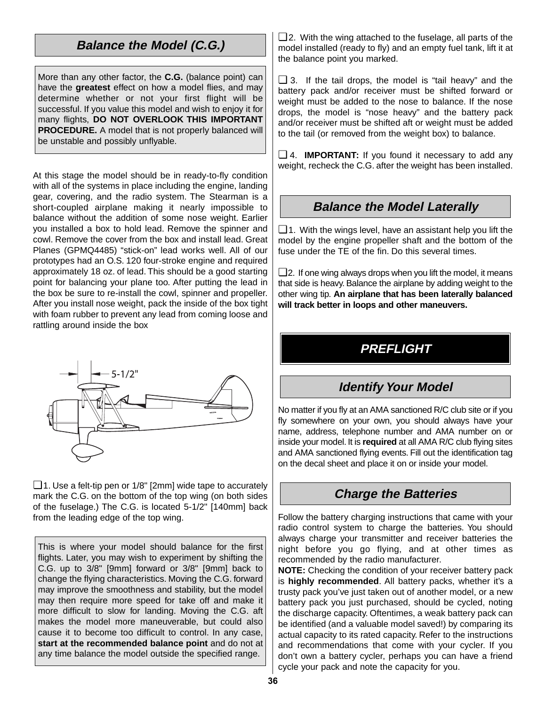# **Balance the Model (C.G.)**

More than any other factor, the **C.G.** (balance point) can have the **greatest** effect on how a model flies, and may determine whether or not your first flight will be successful. If you value this model and wish to enjoy it for many flights, **DO NOT OVERLOOK THIS IMPORTANT PROCEDURE.** A model that is not properly balanced will be unstable and possibly unflyable.

At this stage the model should be in ready-to-fly condition with all of the systems in place including the engine, landing gear, covering, and the radio system. The Stearman is a short-coupled airplane making it nearly impossible to balance without the addition of some nose weight. Earlier you installed a box to hold lead. Remove the spinner and cowl. Remove the cover from the box and install lead. Great Planes (GPMQ4485) "stick-on" lead works well. All of our prototypes had an O.S. 120 four-stroke engine and required approximately 18 oz. of lead. This should be a good starting point for balancing your plane too. After putting the lead in the box be sure to re-install the cowl, spinner and propeller. After you install nose weight, pack the inside of the box tight with foam rubber to prevent any lead from coming loose and rattling around inside the box

![](_page_35_Figure_3.jpeg)

❏ 1. Use a felt-tip pen or 1/8" [2mm] wide tape to accurately mark the C.G. on the bottom of the top wing (on both sides of the fuselage.) The C.G. is located 5-1/2" [140mm] back from the leading edge of the top wing.

This is where your model should balance for the first flights. Later, you may wish to experiment by shifting the C.G. up to 3/8" [9mm] forward or 3/8" [9mm] back to change the flying characteristics. Moving the C.G. forward may improve the smoothness and stability, but the model may then require more speed for take off and make it more difficult to slow for landing. Moving the C.G. aft makes the model more maneuverable, but could also cause it to become too difficult to control. In any case, **start at the recommended balance point** and do not at any time balance the model outside the specified range.

 $\Box$  2. With the wing attached to the fuselage, all parts of the model installed (ready to fly) and an empty fuel tank, lift it at the balance point you marked.

❏ 3. If the tail drops, the model is "tail heavy" and the battery pack and/or receiver must be shifted forward or weight must be added to the nose to balance. If the nose drops, the model is "nose heavy" and the battery pack and/or receiver must be shifted aft or weight must be added to the tail (or removed from the weight box) to balance.

❏ 4. **IMPORTANT:** If you found it necessary to add any weight, recheck the C.G. after the weight has been installed.

## **Balance the Model Laterally**

 $\Box$  1. With the wings level, have an assistant help you lift the model by the engine propeller shaft and the bottom of the fuse under the TE of the fin. Do this several times.

 $\Box$  2. If one wing always drops when you lift the model, it means that side is heavy. Balance the airplane by adding weight to the other wing tip. **An airplane that has been laterally balanced will track better in loops and other maneuvers.**

# **PREFLIGHT**

# **Identify Your Model**

No matter if you fly at an AMA sanctioned R/C club site or if you fly somewhere on your own, you should always have your name, address, telephone number and AMA number on or inside your model. It is **required** at all AMA R/C club flying sites and AMA sanctioned flying events. Fill out the identification tag on the decal sheet and place it on or inside your model.

# **Charge the Batteries**

Follow the battery charging instructions that came with your radio control system to charge the batteries. You should always charge your transmitter and receiver batteries the night before you go flying, and at other times as recommended by the radio manufacturer.

**NOTE:** Checking the condition of your receiver battery pack is **highly recommended**. All battery packs, whether it's a trusty pack you've just taken out of another model, or a new battery pack you just purchased, should be cycled, noting the discharge capacity. Oftentimes, a weak battery pack can be identified (and a valuable model saved!) by comparing its actual capacity to its rated capacity. Refer to the instructions and recommendations that come with your cycler. If you don't own a battery cycler, perhaps you can have a friend cycle your pack and note the capacity for you.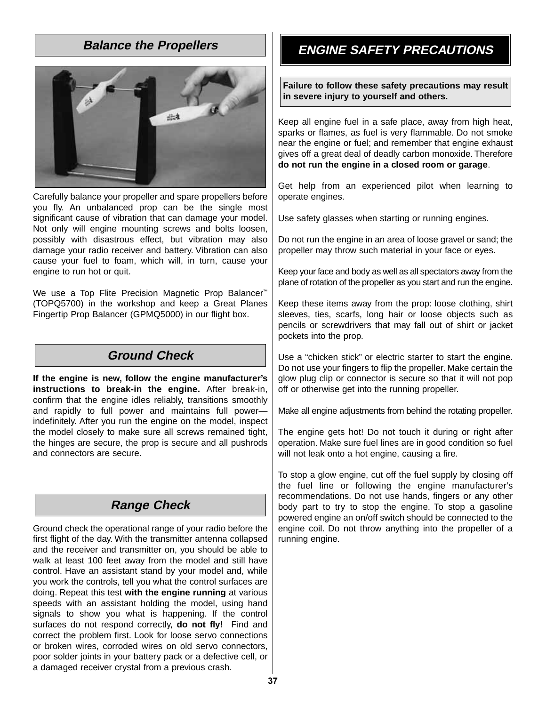## **Balance the Propellers**

![](_page_36_Picture_1.jpeg)

Carefully balance your propeller and spare propellers before you fly. An unbalanced prop can be the single most significant cause of vibration that can damage your model. Not only will engine mounting screws and bolts loosen, possibly with disastrous effect, but vibration may also damage your radio receiver and battery. Vibration can also cause your fuel to foam, which will, in turn, cause your engine to run hot or quit.

We use a Top Flite Precision Magnetic Prop Balancer<sup>™</sup> (TOPQ5700) in the workshop and keep a Great Planes Fingertip Prop Balancer (GPMQ5000) in our flight box.

## **Ground Check**

**If the engine is new, follow the engine manufacturer's instructions to break-in the engine.** After break-in, confirm that the engine idles reliably, transitions smoothly and rapidly to full power and maintains full power indefinitely. After you run the engine on the model, inspect the model closely to make sure all screws remained tight, the hinges are secure, the prop is secure and all pushrods and connectors are secure.

# **Range Check**

Ground check the operational range of your radio before the first flight of the day. With the transmitter antenna collapsed and the receiver and transmitter on, you should be able to walk at least 100 feet away from the model and still have control. Have an assistant stand by your model and, while you work the controls, tell you what the control surfaces are doing. Repeat this test **with the engine running** at various speeds with an assistant holding the model, using hand signals to show you what is happening. If the control surfaces do not respond correctly, **do not fly!** Find and correct the problem first. Look for loose servo connections or broken wires, corroded wires on old servo connectors, poor solder joints in your battery pack or a defective cell, or a damaged receiver crystal from a previous crash.

# **ENGINE SAFETY PRECAUTIONS**

**Failure to follow these safety precautions may result in severe injury to yourself and others.**

Keep all engine fuel in a safe place, away from high heat, sparks or flames, as fuel is very flammable. Do not smoke near the engine or fuel; and remember that engine exhaust gives off a great deal of deadly carbon monoxide. Therefore **do not run the engine in a closed room or garage**.

Get help from an experienced pilot when learning to operate engines.

Use safety glasses when starting or running engines.

Do not run the engine in an area of loose gravel or sand; the propeller may throw such material in your face or eyes.

Keep your face and body as well as all spectators away from the plane of rotation of the propeller as you start and run the engine.

Keep these items away from the prop: loose clothing, shirt sleeves, ties, scarfs, long hair or loose objects such as pencils or screwdrivers that may fall out of shirt or jacket pockets into the prop.

Use a "chicken stick" or electric starter to start the engine. Do not use your fingers to flip the propeller. Make certain the glow plug clip or connector is secure so that it will not pop off or otherwise get into the running propeller.

Make all engine adjustments from behind the rotating propeller.

The engine gets hot! Do not touch it during or right after operation. Make sure fuel lines are in good condition so fuel will not leak onto a hot engine, causing a fire.

To stop a glow engine, cut off the fuel supply by closing off the fuel line or following the engine manufacturer's recommendations. Do not use hands, fingers or any other body part to try to stop the engine. To stop a gasoline powered engine an on/off switch should be connected to the engine coil. Do not throw anything into the propeller of a running engine.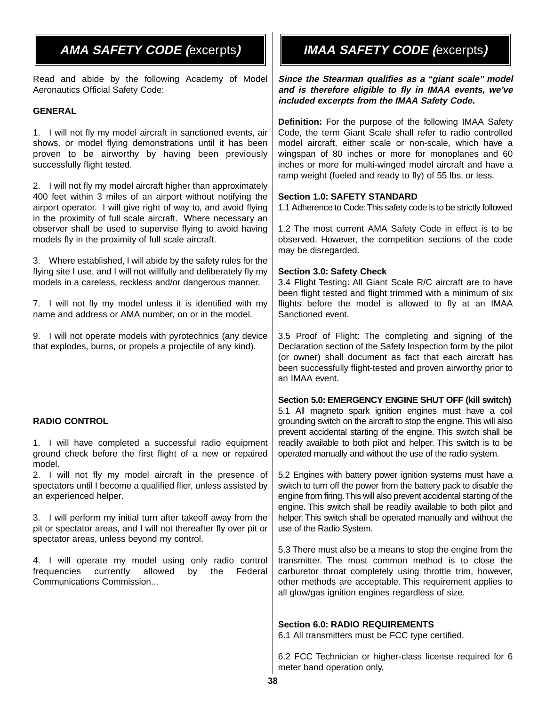Read and abide by the following Academy of Model Aeronautics Official Safety Code:

### **GENERAL**

1. I will not fly my model aircraft in sanctioned events, air shows, or model flying demonstrations until it has been proven to be airworthy by having been previously successfully flight tested.

2. I will not fly my model aircraft higher than approximately 400 feet within 3 miles of an airport without notifying the airport operator. I will give right of way to, and avoid flying in the proximity of full scale aircraft. Where necessary an observer shall be used to supervise flying to avoid having models fly in the proximity of full scale aircraft.

3. Where established, I will abide by the safety rules for the flying site I use, and I will not willfully and deliberately fly my models in a careless, reckless and/or dangerous manner.

7. I will not fly my model unless it is identified with my name and address or AMA number, on or in the model.

9. I will not operate models with pyrotechnics (any device that explodes, burns, or propels a projectile of any kind).

#### **RADIO CONTROL**

1. I will have completed a successful radio equipment ground check before the first flight of a new or repaired model.

2. I will not fly my model aircraft in the presence of spectators until I become a qualified flier, unless assisted by an experienced helper.

3. I will perform my initial turn after takeoff away from the pit or spectator areas, and I will not thereafter fly over pit or spectator areas, unless beyond my control.

4. I will operate my model using only radio control frequencies currently allowed by the Federal Communications Commission...

# **AMA SAFETY CODE (**excerpts**) IMAA SAFETY CODE (**excerpts**)**

**Since the Stearman qualifies as a "giant scale" model and is therefore eligible to fly in IMAA events, we've included excerpts from the IMAA Safety Code.**

**Definition:** For the purpose of the following IMAA Safety Code, the term Giant Scale shall refer to radio controlled model aircraft, either scale or non-scale, which have a wingspan of 80 inches or more for monoplanes and 60 inches or more for multi-winged model aircraft and have a ramp weight (fueled and ready to fly) of 55 lbs. or less.

### **Section 1.0: SAFETY STANDARD**

1.1 Adherence to Code:This safety code is to be strictly followed

1.2 The most current AMA Safety Code in effect is to be observed. However, the competition sections of the code may be disregarded.

#### **Section 3.0: Safety Check**

3.4 Flight Testing: All Giant Scale R/C aircraft are to have been flight tested and flight trimmed with a minimum of six flights before the model is allowed to fly at an IMAA Sanctioned event.

3.5 Proof of Flight: The completing and signing of the Declaration section of the Safety Inspection form by the pilot (or owner) shall document as fact that each aircraft has been successfully flight-tested and proven airworthy prior to an IMAA event.

#### **Section 5.0: EMERGENCY ENGINE SHUT OFF (kill switch)**

5.1 All magneto spark ignition engines must have a coil grounding switch on the aircraft to stop the engine.This will also prevent accidental starting of the engine. This switch shall be readily available to both pilot and helper. This switch is to be operated manually and without the use of the radio system.

5.2 Engines with battery power ignition systems must have a switch to turn off the power from the battery pack to disable the engine from firing.This will also prevent accidental starting of the engine. This switch shall be readily available to both pilot and helper. This switch shall be operated manually and without the use of the Radio System.

5.3 There must also be a means to stop the engine from the transmitter. The most common method is to close the carburetor throat completely using throttle trim, however, other methods are acceptable. This requirement applies to all glow/gas ignition engines regardless of size.

#### **Section 6.0: RADIO REQUIREMENTS**

6.1 All transmitters must be FCC type certified.

6.2 FCC Technician or higher-class license required for 6 meter band operation only.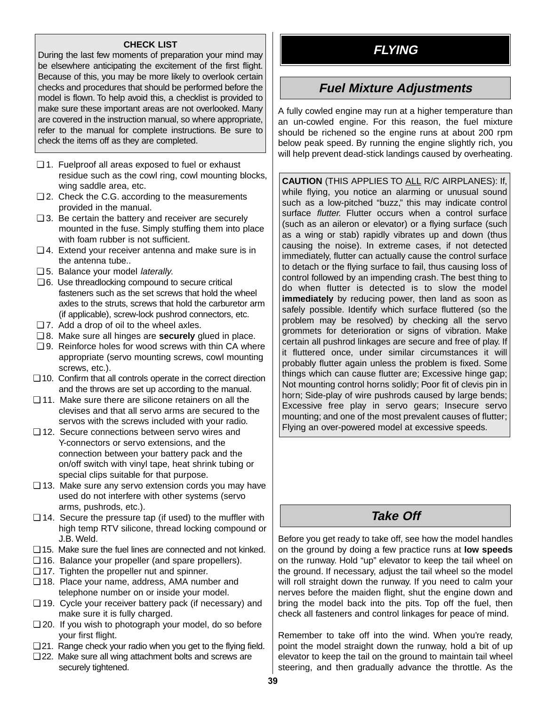**CHECK LIST**<br>
During the last few moments of preparation your mind may be elsewhere anticipating the excitement of the first flight. Because of this, you may be more likely to overlook certain checks and procedures that should be performed before the model is flown. To help avoid this, a checklist is provided to make sure these important areas are not overlooked. Many are covered in the instruction manual, so where appropriate, refer to the manual for complete instructions. Be sure to check the items off as they are completed.

- ❏ 1. Fuelproof all areas exposed to fuel or exhaust residue such as the cowl ring, cowl mounting blocks, wing saddle area, etc.
- ❏ 2. Check the C.G. according to the measurements provided in the manual.
- ❏ 3. Be certain the battery and receiver are securely mounted in the fuse. Simply stuffing them into place with foam rubber is not sufficient.
- ❏ 4. Extend your receiver antenna and make sure is in the antenna tube..
- ❏ 5. Balance your model laterally.
- ❏ 6. Use threadlocking compound to secure critical fasteners such as the set screws that hold the wheel axles to the struts, screws that hold the carburetor arm (if applicable), screw-lock pushrod connectors, etc.
- ❏ 7. Add a drop of oil to the wheel axles.
- ❏ 8. Make sure all hinges are **securely** glued in place.
- ❏ 9. Reinforce holes for wood screws with thin CA where appropriate (servo mounting screws, cowl mounting screws, etc.).
- ❏ 10. Confirm that all controls operate in the correct direction and the throws are set up according to the manual.
- ❏ 11. Make sure there are silicone retainers on all the clevises and that all servo arms are secured to the servos with the screws included with your radio.
- ❏ 12. Secure connections between servo wires and Y-connectors or servo extensions, and the connection between your battery pack and the on/off switch with vinyl tape, heat shrink tubing or special clips suitable for that purpose.
- ❏ 13. Make sure any servo extension cords you may have used do not interfere with other systems (servo arms, pushrods, etc.).
- ❏ 14. Secure the pressure tap (if used) to the muffler with high temp RTV silicone, thread locking compound or J.B. Weld.
- ❏ 15. Make sure the fuel lines are connected and not kinked.
- ❏ 16. Balance your propeller (and spare propellers).
- ❏ 17. Tighten the propeller nut and spinner.
- ❏ 18. Place your name, address, AMA number and telephone number on or inside your model.
- ❏ 19. Cycle your receiver battery pack (if necessary) and make sure it is fully charged.
- ❏ 20. If you wish to photograph your model, do so before your first flight.
- ❏ 21. Range check your radio when you get to the flying field.
- ❏ 22. Make sure all wing attachment bolts and screws are securely tightened.

# **Fuel Mixture Adjustments**

A fully cowled engine may run at a higher temperature than an un-cowled engine. For this reason, the fuel mixture should be richened so the engine runs at about 200 rpm below peak speed. By running the engine slightly rich, you will help prevent dead-stick landings caused by overheating.

**CAUTION** (THIS APPLIES TO ALL R/C AIRPLANES): If, while flying, you notice an alarming or unusual sound such as a low-pitched "buzz," this may indicate control surface flutter. Flutter occurs when a control surface (such as an aileron or elevator) or a flying surface (such as a wing or stab) rapidly vibrates up and down (thus causing the noise). In extreme cases, if not detected immediately, flutter can actually cause the control surface to detach or the flying surface to fail, thus causing loss of control followed by an impending crash. The best thing to do when flutter is detected is to slow the model **immediately** by reducing power, then land as soon as safely possible. Identify which surface fluttered (so the problem may be resolved) by checking all the servo grommets for deterioration or signs of vibration. Make certain all pushrod linkages are secure and free of play. If it fluttered once, under similar circumstances it will probably flutter again unless the problem is fixed. Some things which can cause flutter are; Excessive hinge gap; Not mounting control horns solidly; Poor fit of clevis pin in horn; Side-play of wire pushrods caused by large bends; Excessive free play in servo gears; Insecure servo mounting; and one of the most prevalent causes of flutter; Flying an over-powered model at excessive speeds.

# **Take Off**

Before you get ready to take off, see how the model handles on the ground by doing a few practice runs at **low speeds** on the runway. Hold "up" elevator to keep the tail wheel on the ground. If necessary, adjust the tail wheel so the model will roll straight down the runway. If you need to calm your nerves before the maiden flight, shut the engine down and bring the model back into the pits. Top off the fuel, then check all fasteners and control linkages for peace of mind.

Remember to take off into the wind. When you're ready, point the model straight down the runway, hold a bit of up elevator to keep the tail on the ground to maintain tail wheel steering, and then gradually advance the throttle. As the